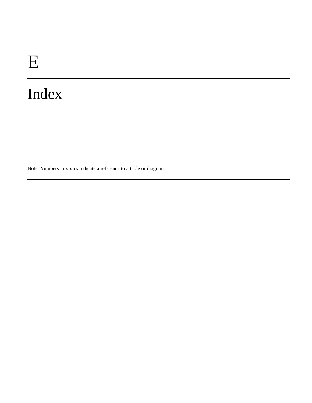Note: Numbers in *italics* indicate a reference to a table or diagram.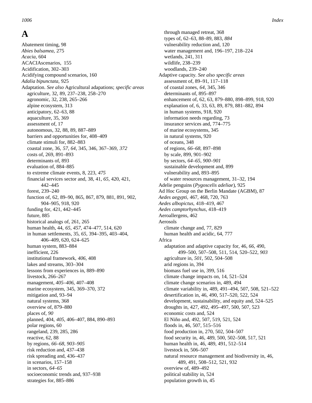### **A**

Abatement timing, 98 *Abies balsamea,* 275 *Acacia,* 604 ACACIAscenarios, 155 Acidification, 302–303 Acidifying compound scenarios, 160 *Adalia bipunctata,* 925 Adaptation. *See also* Agricultural adapations; *specific areas* agriculture, 32, 89, 237–238, 258–270 agronomic, 32, 238, 265–266 alpine ecosystem, 313 anticipatory, 62–63, 88 aquaculture, 35, 369 assessment of, 17 autonomous, 32, 88, 89, 887–889 barriers and opportunities for, 408–409 climate stimuli for, 882–883 coastal zone, 36, *57, 64,* 345, 346, 367–369, *372* costs of, 269, 891–893 determinants of, 893 evaluation of, 884–885 to extreme climate events, 8, 223, *475* financial services sector and, 38, 41, *65,* 420, 421, 442–445 forest, 239–240 function of, 62, 89–90, 865, 867, 879, 881, 891, 902, 904–905, 918, 920 funding for, 421, 442–445 future, 885 historical analogs of, 261, 265 human health, 44, *65, 457,* 474–477, 514, 620 in human settlements, 35, *65,* 394–395, 403–404, 406–409, 620, 624–625 human system, 883–884 inefficient, 226 institutional framework, *406,* 408 lakes and streams, 303–304 lessons from experiences in, 889–890 livestock, 266–267 management, *405–406,* 407–408 marine ecosystem, 345, 369–370, 372 mitigation and, 93–94 natural systems, 368 overview of, 879–880 places of, *90* planned, 404, *405,* 406–407, 884, 890–893 polar regions, 60 rangeland, 239, 285, 286 reactive, 62, 88 by regions, *66–68, 903–905* risk reduction and, 437–438 risk spreading and, 436–437 in scenarios, 157–158 in sectors, *64–65* socioeconomic trends and, 937–938 strategies for, 885–886

through managed retreat, 368 types of, 62–63, 88–89, 883, *884* vulnerability reduction and, 120 water management and, 196–197, 218–224 wetlands, 241, 311 wildlife, 238–239 woodlands, 239–240 Adaptive capacity. *See also specific areas* assessment of, 89–91, 117–118 of coastal zones, *64,* 345, 346 determinants of, 895–897 enhancement of, 62, 63, 879–880, 898–899, 918, 920 explanation of, 6, 33, 63, 89, 879, 881–882, 894 in human systems, 918, 920 information needs regarding, 73 insurance services and, 774–775 of marine ecosystems, 345 in natural systems, 920 of oceans, 348 of regions, *66–68,* 897–898 by scale, 899, 901–902 by sectors, *64–65, 900–901* sustainable development and, 899 vulnerability and, 893–895 of water resources management, 31–32, 194 Adelie penguins (*Pygoscelis adeliae*)*,* 925 Ad Hoc Group on the Berlin Mandate (AGBM), 87 *Aedes aegypti,* 467, 468, 720, 763 *Aedes albopictus,* 418–419, 467 *Aedes camptorhynchus,* 418–419 Aeroallergens, 462 Aerosols climate change and, 77, 829 human health and acidic, 64, 777 Africa adaptation and adaptive capacity for, 46, *66,* 490, 499–500, 507–508, 511, 514, 520–522, *903* agriculture in, *501,* 502, 504–508 arid regions in, 394 biomass fuel use in, 399, 516 climate change impacts on, 14, 521–524 climate change scenarios in, 489, 494 climate variability in, 489, 491–494, 507, 508, 521–522 desertification in, 46, 490, 517–520, 522, 524 development, sustainability, and equity and, 524–525 droughts in, 427, 492, 495–497, 500, 507, 523 economic costs and, 524 El Niño and, 492, 507, 519, 521, 524 floods in, 46, 507, 515–516 food production in, 270, 502, 504–507 food security in, 46, 489, 500, 502–508, 517, 521 human health in, 46, 489, 491, 512–514 livestock in, 506–507 natural resource management and biodiversity in, 46, 489, 491, 508–512, 521, 932 overview of, 489–492 political stability in, 524 population growth in, 45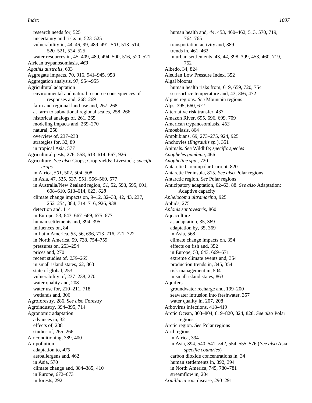research needs for, 525 uncertainty and risks in, 523–525 vulnerability in, 44–46, 99, 489–491, *501,* 513–514, 520–521, 524–525 water resources in, 45, 409, 489, 494–500, 516, 520–521 African trypanosomiasis, *463 Agathis australis,* 603 Aggregate impacts, 70, 916, 941–945, 958 Aggregation analysis, 97, 954–955 Agricultural adaptation environmental and natural resource consequences of responses and, 268–269 farm and regional land use and, 267–268 at farm to subnational regional scales, 258–266 historical analogs of, 261, 265 modeling impacts and, 269–270 natural, 258 overview of, 237–238 strategies for, 32, 89 in tropical Asia, 577 Agricultural pests, 276, 558, 613–614, 667, 926 Agriculture. *See also* Crops; Crop yields; Livestock; *specific crops* in Africa, *501,* 502, 504–508 in Asia, 47, 535, 537, 551, 556–560, 577 in Australia/New Zealand region, *51,* 52, 593, 595, 601, 608–610, 613–614, 623, *628* climate change impacts on, 9–12, 32–33, 42, 43, 237, 252–254, 384, 714–716, 926, 938 detection and, 114 in Europe, 53, 643, 667–669, 675–677 human settlements and, 394–395 influences on, 84 in Latin America, *55,* 56, 696, 713–716, 721–722 in North America, 59, 738, 754–759 pressures on, 253–254 prices and, 270 recent studies of, *259–265* in small island states, 62, 863 state of global, 253 vulnerability of, 237–238, 270 water quality and, 208 water use for, 210–211, 718 wetlands and, 306 Agroforestry, 286. *See also* Forestry Agroindustry, 394–395, 714 Agronomic adaptation advances in, 32 effects of, 238 studies of, 265–266 Air conditioning, 389, 400 Air pollution adaptation to, *475* aeroallergens and, 462 in Asia, 570 climate change and, 384–385, 410 in Europe, 672–673 in forests, 292

human health and, *44,* 453, 460–462, 513, 570, 719, 764–765 transportation activity and, 389 trends in, 461–462 in urban settlements, 43, 44, 398–399, 453, 460, 719, 752 Albedo, 34, 824 Aleutian Low Pressure Index, 352 Algal blooms human health risks from, 619, 659, 720, 754 sea-surface temperature and, 43, 366, 472 Alpine regions. *See* Mountain regions Alps, 395, 660, 672 Alternative risk transfer, 437 Amazon River, 695, 696, 699, 709 American trypanosomiasis, *463* Amoebiasis, 864 Amphibians, 69, 273–275, 924, 925 Anchovies (*Engraulis sp.*), 351 Animals. *See* Wildlife; *specific species Anopheles gambiae,* 466 *Anopheline spp.,* 720 Antarctic Circumpolar Current, 820 Antarctic Peninsula, 815. *See also* Polar regions Antarctic region. *See* Polar regions Anticipatory adaptation, 62–63, 88. *See also* Adaptation; Adaptive capacity *Aphelocoma ultramarina,* 925 Aphids, 275 *Aplonis santovestris,* 860 Aquaculture as adaptation, 35, 369 adaptation by, 35, 369 in Asia, 568 climate change impacts on, 354 effects on fish and, 352 in Europe, 53, 643, 669–671 extreme climate events and, 354 production trends in, 345, 354 risk management in, 504 in small island states, 863 Aquifers groundwater recharge and, 199–200 seawater intrusion into freshwater, 357 water quality in, 207, 208 Arbovirus infections, 418–419 Arctic Ocean, 803–804, 819–820, 824, 828. *See also* Polar regions Arctic region. *See* Polar regions Arid regions in Africa, 394 in Asia, 394, 540–541, *542,* 554–555, 576 (*See also* Asia; *specific countries*) carbon dioxide concentrations in, 34 human settlements in, 392, 394 in North America, 745, 780–781 streamflow in, 204 *Armillaria* root disease, 290–291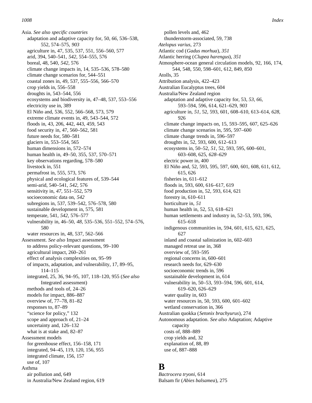Asia. *See also specific countries* adaptation and adaptive capacity for, 50, *66,* 536–538, 552, 574–575, *903* agriculture in, 47, 535, 537, 551, 556–560, 577 arid, 394, 540–541, *542,* 554–555, 576 boreal, 48, 540, *542,* 576 climate change impacts in, 14, 535–536, 578–580 climate change scenarios for, 544–551 coastal zones in, 49, 537, 555–556, 566–570 crop yields in, 556–558 droughts in, 543–544, 556 ecosystems and biodiversity in, 47–48, 537, 553–556 electricity use in, 389 El Niño and, 536, 552, 566–568, 573, 579 extreme climate events in, 49, 543–544, 572 floods in, 43, 206, 442, 443, 459, 543 food security in, 47, 560–562, 581 future needs for, 580–581 glaciers in, 553–554, 565 human dimensions in, 572–574 human health in, 49–50, 355, 537, 570–571 key observations regarding, 578–580 livestock in, 551 permafrost in, 555, 573, 576 physical and ecological features of, 539–544 semi-arid, 540–541, *542,* 576 sensitivity in, *47,* 551–552, 579 socioeconomic data on, *542* subregions in, 537, 539–542, 576–578, 580 sustainable development in, 575, 581 temperate, 541, *542,* 576–577 vulnerability in, 46–50, *48,* 535–536, 551–552, 574–576, 580 water resources in, 48, 537, 562–566 Assessment. *See also* Impact assessment to address policy-relevant questions, 99–100 agricultural impact, 260–261 effect of analysis complexities on, 95–99 of impacts, adaptation, and vulnerability, 17, 89–95, 114–115 integrated, 25, 36, 94–95, 107, 118–120, 955 (*See also* Integrated assessment) methods and tools of, 24–26 models for impact, 886–887 overview of, 77–78, 81–82 responses to, 87–89 "science for policy," 132 scope and approach of, 21–24 uncertainty and, 126–132 what is at stake and, 82–87 Assessment models for greenhouse effect, 156–158, 171 integrated, 94–45, 119, 120, 156, 955 integrated climate, 156, 157 use of, 107 Asthma air pollution and, 649 in Australia/New Zealand region, 619

pollen levels and, 462 thunderstorm-associated, 59, 738 *Atelopus varius,* 273 Atlantic cod (*Gadus morhua*), *351* Atlantic herring (*Clupea harengus*), *351* Atmosphere-ocean general circulation models, 92, 166, 174, 544, 548, 550, 598–601, 612, 849, 850 Atolls, 35 Attribution analysis, 422–423 Australian Eucalyptus trees, 604 Australia/New Zealand region adaptation and adaptive capacity for, 53, *53, 66,* 593–594, 596, 614, 621–629, *903* agriculture in, *51,* 52, 593, 601, 608–610, 613–614, *628,* 926 climate change impacts on, 15, 593–595, 607, 625–626 climate change scenarios in, 595, 597–600 climate change trends in, 596–597 droughts in, 52, 593, 600, 612–613 ecosystems in, 50–52, *51,* 52, 593, 595, 600–601, 603–608, 625, *628–629* electric power in, 400 El Niño and, 52, 593, 595, 597, 600, 601, 608, 611, 612, 615, 626 fisheries in, 611–612 floods in, 593, 600, 616–617, 619 food production in, 52, 593, 614, 621 forestry in, 610–611 horticulture in, *51* human health in, 52, 53, 618–621 human settlements and industry in, 52–53, 593, 596, 615–618 indigenous communities in, 594, 601, 615, 621, 625, 627 inland and coastal salinization in, 602–603 managed retreat use in, 368 overview of, 593–595 regional concerns in, 600–601 research needs for, 629–630 socioeconomic trends in, 596 sustainable development in, 614 vulnerability in, 50–53, 593–594, 596, 601, 614, 619–620, 626–629 water quality in, 603 water resources in, 50, 593, 600, 601–602 wetland conservation in, 366 Australian quokka (*Setonix brachyurus*), 274 Autonomous adaptation. *See also* Adaptation; Adaptive capacity costs of, 888–889 crop yields and, 32 explanation of, 88, 89 use of, 887–888

### **B**

*Bactrocera tryoni,* 614 Balsam fir (*Abies balsamea*), 275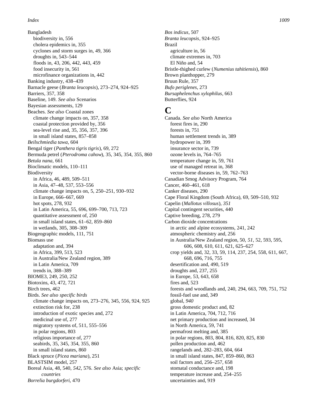Bangladesh biodiversity in, 556 cholera epidemics in, 355 cyclones and storm surges in, 49, 366 droughts in, 543–544 floods in, 43, 206, 442, 443, 459 food insecurity in, 561 microfinance organizations in, 442 Banking industry, 438–439 Barnacle geese (*Branta leucopsis*), 273–274, 924–925 Barriers, 357, 358 Baseline, 149. *See also* Scenarios Bayesian assessments, 129 Beaches. *See also* Coastal zones climate change impacts on, 357, 358 coastal protection provided by, 356 sea-level rise and, 35, 356, 357, 396 in small island states, 857–858 *Beilschmiedia tawa,* 604 Bengal tiger (*Panthera tigris tigris*), 69, 272 Bermuda petrel (*Pterodroma cahow*), 35, 345, 354, 355, 860 *Betula nana,* 661 Bioclimatic models, 110–111 Biodiversity in Africa, 46, 489, 509–511 in Asia, 47–48, 537, 553–556 climate change impacts on, 5, 250–251, 930–932 in Europe, 666–667, 669 hot spots, 278, 932 in Latin America, 55, 696, 699–700, 713, 723 quantitative assessment of, 250 in small island states, 61–62, 859–860 in wetlands, 305, 308–309 Biogeographic models, 111, 751 Biomass use adaptation and, 394 in Africa, 399, 513, 523 in Australia/New Zealand region, 389 in Latin America, 709 trends in, 388–389 BIOME3, 249, 250, 252 Biotoxins, 43, 472, 721 Birch trees, 462 Birds. *See also specific birds* climate change impacts on, 273–276, 345, 556, 924, 925 extinction risk for, 238 introduction of exotic species and, 272 medicinal use of, 277 migratory systems of, 511, 555–556 in polar regions, 803 religious importance of, 277 seabirds, 35, 345, 354, 355, 860 in small island states, 860 Black spruce (*Picea mariana*), 251 BLASTSIM model, 257 Boreal Asia, 48, 540, 542, 576. *See also* Asia; *specific c o u ntries Borrelia burgdorferi*, 470

*Bos indicus*, 507 *Branta leucopsis*, 924–925 Brazil agriculture in, 56 climate extremes in, 703 El Niño and, 54 Bristle-thighed curlew (*Numenius tahitiensis*), 860 Brown planthopper, 279 Bruun Rule, 357 *Bufo periglenes*, 273 *Bursaphelenchus xylophilus*, 663 Butterflies, 924

### **C**

Canada. *See also* North America forest fires in, 290 forests in, 751 human settlement trends in, 389 hydropower in, 399 insurance sector in, 739 ozone levels in, 764–765 temperature change in, 59, 761 use of managed retreat in, 368 vector-borne diseases in, 59, 762–763 Canadian Smog Advisory Program, 764 Cancer, 460–461, 618 Canker diseases, 290 Cape Floral Kingdom (South Africa), 69, 509–510, 932 Capelin (*Mallotus villosus*), *351* Capital contingent securities, 440 Captive breeding, 278, 279 Carbon dioxide concentrations in arctic and alpine ecosystems, 241, 242 atmospheric chemistry and, 256 in Australia/New Zealand region, 50, *51,* 52, 593, 595, 606, 608, 610, 611, 621, 625–627 crop yields and, 32, 33, 59, 114, 237, 254, 558, 611, 667, 668, 696, 716, 755 desertification and, 490, 519 droughts and, 237, 255 in Europe, 53, 643, 658 fires and, 523 forests and woodlands and, 240, 294, 663, 709, 751, 752 fossil-fuel use and, 349 global, *940* gross domestic product and, 82 in Latin America, 704, 712, 716 net primary production and increased, 34 in North America, 59, 741 permafrost melting and, 385 in polar regions, 803, 804, 816, 820, 825, 830 pollen production and, 462 rangelands and, 282–283, 604, 664 in small island states, 847, 859–860, 863 soil factors and, 256–257, 658 stomatal conductance and, 198 temperature increase and, 254–255 uncertainties and, 919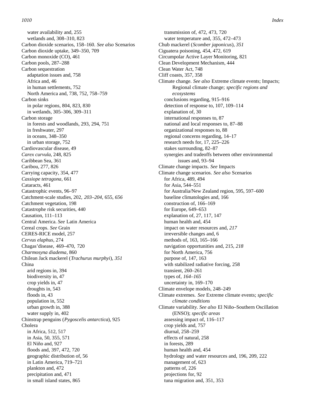water availability and, 255 wetlands and, 308–310, 823 Carbon dioxide scenarios, 158–160. *See also* Scenarios Carbon dioxide uptake, 349–350, 709 Carbon monoxide (CO), 461 Carbon pools, 287–288 Carbon sequestration adaptation issues and, 758 Africa and, 46 in human settlements, 752 North America and, 738, 752, 758–759 Carbon sinks in polar regions, 804, 823, 830 in wetlands, 305–306, 309–311 Carbon storage in forests and woodlands, 293, 294, 751 in freshwater, 297 in oceans, 348–350 in urban storage, 752 Cardiovascular disease, 49 *Carex curvula*, 248, 825 Caribbean Sea, 361 Caribou, 277, 826 Carrying capacity, 354, 477 *Cassiope tetragona*, 661 Cataracts, 461 Catastrophic events, 96–97 Catchment-scale studies, 202, *203–204,* 655, *656* Catchment vegetation, 198 Catastrophe risk securities, 440 Causation, 111–113 Central America. *See* Latin America Cereal crops. *See* Grain CERES-RICE model, 257 *Cervus elaphus*, 274 Chagas'disease, 469–470, 720 *Charmosyna diadema*, 860 Chilean Jack mackerel (*Trachurus murphyi*), *351* China arid regions in, 394 biodiversity in, 47 crop yields in, 47 droughts in, 543 floods in, 43 population in, 552 urban growth in, 388 water supply in, 402 Chinstrap penguins (*Pygoscelis antarctica*), 925 Cholera in Africa, 512, 517 in Asia, 50, 355, 571 El Niño and, 927 floods and, 397, 472, 720 geographic distribution of, 56 in Latin America, 719–721 plankton and, 472 precipitation and, 471 in small island states, 865

transmission of, 472, 473, 720 water temperature and, 355, 472–473 Chub mackerel (*Scomber japonicus*), *351* Ciguatera poisoning, 454, 472, 619 Circumpolar Active Layer Monitoring, 821 Clean Development Mechanism, 444 Clean Water Act, 748 Cliff coasts, 357, 358 Climate change. *See also* Extreme climate events; Impacts; Regional climate change; *specific regions and e c o s y s t e m s* conclusions regarding, 915–916 detection of response to, 107, 109–114 explanation of, 30 international responses to, 87 national and local responses to, 87–88 organizational responses to, 88 regional concerns regarding, 14–17 research needs for, 17, 225–226 stakes surrounding, 82–87 synergies and tradeoffs between other environmental issues and, 93–94 Climate change impacts. *See* Impacts Climate change scenarios. *See also* Scenarios for Africa, 489, 494 for Asia, 544–551 for Australia/New Zealand region, 595, 597–600 baseline climatologies and, 166 construction of, 166–169 for Europe, 649–653 explanation of, 27, 117, 147 human health and, 454 impact on water resources and, *217* irreversible changes and, 6 methods of, 163, 165–166 navigation opportunities and, 215, *218* for North America, 756 purpose of, 147, 163 with stabilized radiative forcing, 258 transient, 260–261 types of, *164–165* uncertainty in, 169–170 Climate envelope models, 248–249 Climate extremes. *See* Extreme climate events; *specific c l imate conditions* Climate variability. *See also* El Niño–Southern Oscillation (ENSO); *specific areas* assessing impact of, 116–117 crop yields and, 757 diurnal, 258–259 effects of natural, 258 in forests, 289 human health and, 454 hydrology and water resources and, 196, 209, 222 management of, 623 patterns of, 226 projections for, 92 tuna migration and, 351, 353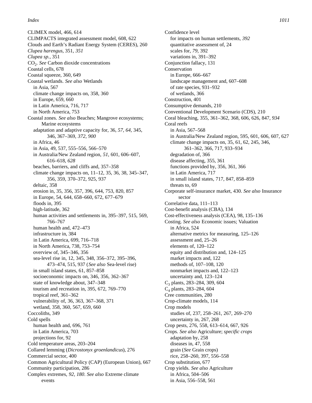CLIMEX model, 466, 614 CLIMPACTS integrated assessment model, 608, 622 Clouds and Earth's Radiant Energy System (CERES), 260 *Clupea harengus*, 351, *351 Clupea sp.*, 351 CO<sup>2</sup> . *See* Carbon dioxide concentrations Coastal cells, 678 Coastal squeeze, 360, 649 Coastal wetlands. *See also* Wetlands in Asia, 567 climate change impacts on, 358, 360 in Europe, 659, 660 in Latin America, 716, 717 in North America, 753 Coastal zones. *See also* Beaches; Mangrove ecosystems; Marine ecosystems adaptation and adaptive capacity for, 36, *57, 64,* 345, 346, 367–369, *372, 900* in Africa, 46 in Asia, 49, 537, 555–556, 566–570 in Australia/New Zealand region, *51,* 601, 606–607, 616–618, *628* beaches, barriers, and cliffs and, 357–358 climate change impacts on, 11–12, 35, 36, 38, 345–347, 356, 359, 370–372, 925, 937 deltaic, 358 erosion in, 35, 356, 357, 396, 644, 753, 820, 857 in Europe, 54, 644, 658–660, 672, 677–679 floods in, 395 high-latitude, 362 human activities and settlements in, 395–397, 515, 569, 766–767 human health and, 472–473 infrastructure in, 384 in Latin America, 699, 716–718 in North America, 738, 753–754 overview of, 345–346, 356 sea-level rise in, 12, 345, 348, 356–372, 395–396, 473–474, 515, 937 (*See also* Sea-level rise) in small island states, 61, 857–858 socioeconomic impacts on, 346, 356, 362–367 state of knowledge about, 347–348 tourism and recreation in, 395, 672, 769–770 tropical reef, 361–362 vulnerability of, 36, 363, 367–368, 371 wetland, 358, 360, 567, 659, 660 Coccoliths, 349 Cold spells human health and, 696, 761 in Latin America, 703 projections for, 92 Cold temperature areas, 203–204 Collared lemming (*Dicrostonyx groenlandicus*), 276 Commercial sector, 400 Common Agricultural Policy (CAP) (European Union), 667 Community participation, 286 Complex extremes, *92, 180*. *See also* Extreme climate events

*Index 1011*

Confidence level for impacts on human settlements, *392* quantitative assessment of, 24 scales for, *79,* 392 variations in, 391–392 Conjunction fallacy, 131 Conservation in Europe, 666–667 landscape management and, 607–608 of rate species, 931–932 of wetlands, 366 Construction, 401 Consumptive demands, 210 Conventional Development Scenario (CDS), 210 Coral bleaching, 355, 361–362, 368, 606, 626, 847, *934* Coral reefs in Asia, 567–568 in Australia/New Zealand region, 595, 601, 606, 607, 627 climate change impacts on, 35, 61, 62, 245, 346, 361–362, 366, 717, 933–934 degradation of, 366 disease affecting, 355, 361 functions provided by, 356, 361, 366 in Latin America, 717 in small island states, 717, 847, 858–859 threats to, 69 Corporate self-insurance market, 430. *See also* Insurance sector Correlative data, 111–113 Cost-benefit analysis (CBA), 134 Cost-effectiveness analysis (CEA), 98, 135–136 Costing. *See also* Economic issues; Valuation in Africa, 524 alternative metrics for measuring, 125–126 assessment and, 25–26 elements of, 120–122 equity and distribution and, 124–125 market impacts and, 122 methods of, 107–108, 120 nonmarket impacts and, 122–123 uncertainty and, 123–124 C<sup>3</sup> plants, 283–284, 309, 604 C<sup>4</sup> plants, 283–284, 604 Cree communities, 280 Crop-climate models, 114 Crop models studies of, 237, 258–261, 267, 269–270 uncertainty in, 267, 268 Crop pests, 276, 558, 613–614, 667, 926 Crops. *See also* Agriculture; *specific crops* adaptation by, 258 diseases in, 47, 558 grain (*See* Grain crops) rice, 258–260, 397, 556–558 Crop substitution, 677 Crop yields. *See also* Agriculture in Africa, 504–506 in Asia, 556–558, 561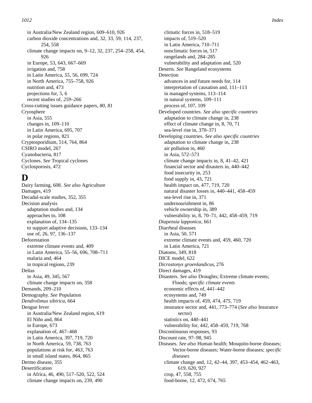in Australia/New Zealand region, 609–610, 926 carbon dioxide concentrations and, 32, 33, 59, 114, 237, 254, 558 climate change impacts on, 9–12, 32, 237, 254–258, 454, 926 in Europe, 53, 643, 667–669 irrigation and, 758 in Latin America, *55,* 56, 699, 724 in North America, 755–758, 926 nutrition and, 473 projections for, 5, 6 recent studies of, *259–266* Cross-cutting issues guidance papers, *80, 81* Cryosphere in Asia, 555 changes in, 109–110 in Latin America, 695, 707 in polar regions, 821 Cryptosporidium, 514, 764, 864 CSIRO model, 267 Cyanobacteria, 817 Cyclones. *See* Tropical cyclones Cyclosporosis, 472

### **D**

Dairy farming, 608. *See also* Agriculture Damages, 419 Decadal-scale studies, 352, 355 Decision analysis adaptation studies and, 134 approaches to, 108 explanation of, 134–135 to support adaptive decisions, 133–134 use of, 26, 97, 136–137 Deforestation extreme climate events and, 409 in Latin America, 55–56, 696, 708–711 malaria and, 464 in tropical regions, 239 Deltas in Asia, 49, 345, 567 climate change impacts on, 358 Demands, 209–210 Demography. *See* Population *Dendrolimus sibirica*, 664 Dengue fever in Australia/New Zealand region, 619 El Niño and, 864 in Europe, 673 explanation of, 467–468 in Latin America, 397, 719, 720 in North America, 59, 738, 763 populations at risk for, *463,* 763 in small island states, 864, 865 Dermo disease, 355 Desertification in Africa, 46, 490, 517–520, 522, 524 climate change impacts on, 239, 490

climatic forces in, 518–519 impacts of, 519–520 in Latin America, 710–711 nonclimatic forces in, 517 rangelands and, 284–285 vulnerability and adaptation and, 520 Deserts. *See* Rangeland ecosystems Detection advances in and future needs for, 114 interpretation of causation and, 111–113 in managed systems, 113–114 in natural systems, 109–111 process of, 107, 109 Developed countries. *See also specific countries* adaptation to climate change in, 238 effect of climate change in, 8, 70, 71 sea-level rise in, 370–371 Developing countries. *See also specific countries* adaptation to climate change in, 238 air pollution in, 460 in Asia, 572–573 climate change impacts in, 8, 41–42, 421 financial sector and disasters in, 440–442 food insecurity in, 253 food supply in, 43, 721 health impact on, 477, 719, 720 natural disaster losses in, 440–441, 458–459 sea-level rise in, 371 undernourishment in, 86 vehicle ownership in, 389 vulnerability in, 8, 70–71, 442, 458–459, 719 *Diapensia lapponica*, 661 Diarrheal diseases in Asia, 50, 571 extreme climate events and, 459, 460, 720 in Latin America, 721 Diatoms, 349, 818 DICE model, 622 *Dicrostonyx groenlandicus*, 276 Direct damages, 419 Disasters. *See also* Droughts; Extreme climate events; Floods; *specific climate events* economic effects of, 441–442 ecosystems and, 749 health impacts of, 459, 474, *475,* 719 insurance sector and, 441, 773–774 (*See also* Insurance sector) statistics on, 440–441 vulnerability for, 442, 458–459, 719, 768 Discontinuous responses, 93 Discount rate, 97–98, 945 Diseases. *See also* Human health; Mosquito-borne diseases; Vector-borne diseases; Water-borne diseases; *specific diseases* climate change and, 12, 42–44, 397, 453–454, 462–463, 619, 620, 927 crop, 47, 558, 755 food-borne, 12, 472, 674, 765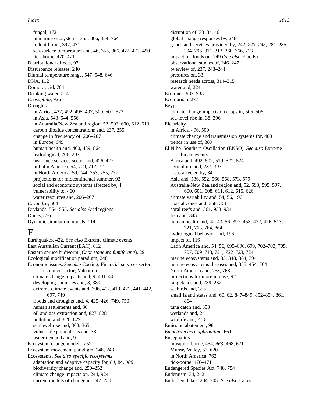fungal, 472 in marine ecosystems, 355, 366, 454, 764 rodent-borne, 397, 471 sea-surface temperature and, 46, 355, 366, 472–473, 490 tick-borne, 470–471 Distributional effects, 97 Disturbance releases, 240 Diurnal temperature range, 547–548, 646 DNA, 112 Domoic acid, 764 Drinking water, 514 *Drosophila*, 925 Droughts in Africa, 427, 492, 495–497, 500, 507, 523 in Asia, 543–544, 556 in Australia/New Zealand region, 52, 593, 600, 612–613 carbon dioxide concentrations and, 237, 255 change in frequency of, 206–207 in Europe, 649 human health and, 460, 489, 864 hydrological, 206–207 insurance services sector and, 426–427 in Latin America, 54, 709, 712, 721 in North America, 59, 744, 753, 755, 757 projections for midcontinental summer, 92 social and economic systems affected by, 4 vulnerability to, 460 water resources and, 206–207 *Dryandra*, 604 Drylands, 554–555. *See also* Arid regions Dunes, 356 Dynamic simulation models, 114

### **E**

Earthquakes, 422. *See also* Extreme climate events East Australian Current (EAC), 612 Eastern spruce budworm (*Choristoneura fumiferana*), 291 Ecological modification paradigm, 248 Economic issues. *See also* Costing; Financial services sector; Insurance sector; Valuation climate change impacts and, 9, 401–402 developing countries and, 8, 389 extreme climate events and, 396, 402, 419, 422, 441–442, 697, 749 floods and droughts and, 4, 425–426, 749, 750 human settlements and, 36 oil and gas extraction and, 827–828 pollution and, 828–829 sea-level rise and, 363, 365 vulnerable populations and, 33 water demand and, 9 Ecosystem change models, 252 Ecosystem movement paradigm, 248, *249* Ecosystems. *See also specific ecosystems* adaptation and adaptive capacity for, *64,* 84, *900* biodiversity change and, 250–252 climate change impacts on, 244, 924 current models of change in, 247–250

disruption of, 33–34, 46 global change responses by, 248 goods and services provided by, 242, *243, 245,* 281–285, 294–295, 311–312, 360, 366, 713 impact of floods on, 749 (*See also* Floods) observational studies of, 246–247 overview of, 237, 243–244 pressures on, 33 research needs across, 314–315 water and, 224 Ecotones, 932–933 Ecotourism, 277 Egypt climate change impacts on crops in, 505–506 sea-level rise in, 38, 396 Electricity in Africa, 496, 500 climate change and transmission systems for, 400 trends in use of, 389 El Niño–Southern Oscillation (ENSO). *See also* Extreme climate events Africa and, 492, 507, 519, 521, 524 agriculture and, 237, 397 areas affected by, 34 Asia and, 536, 552, 566–568, 573, 579 Australia/New Zealand region and, 52, 593, 595, 597, 600, 601, 608, 611, 612, 615, 626 climate variability and, 54, 56, 196 coastal zones and, 358, 361 coral reefs and, 361, 933–934 fish and, 345 human health and, 42–43, 56, 397, 453, 472, 476, 513, 721, 763, 764, 864 hydrological behavior and, 196 impact of, 116 Latin America and, 54, 56, 695–696, 699, 702–703, 705, 707, 709–713, 721, *722–723,* 724 marine ecosystems and, 35, 348, 384, 394 marine ecosystems diseases and, 355, 454, 764 North America and, 763, 768 projections for more intense, 92 rangelands and, 239, 282 seabirds and, 355 small island states and, 60, 62, 847–849, 852–854, 861, 864 tuna catch and, 353 wetlands and, 241 wildlife and, 273 Emission abatement, 98 *Empetrum hermaphroditum*, 661 Encephalitis mosquito-borne, 454, *463,* 468, 621 Murray Valley, 53, 620 in North America, 762 tick-borne, 470–471 Endangered Species Act, 748, 754 Endemism, 34, 242 Endorheic lakes, 204–205. *See also* Lakes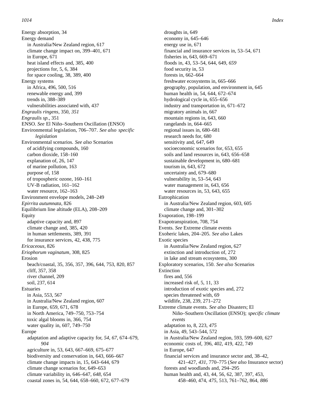Energy absorption, 34 Energy demand in Australia/New Zealand region, 617 climate change impact on, 399–401, 671 in Europe, 671 heat island effects and, 385, 400 projections for, 5, 6, 384 for space cooling, 38, 389, 400 Energy systems in Africa, 496, 500, 516 renewable energy and, 399 trends in, 388–389 vulnerabilities associated with, 437 *Engraulis ringens*, 350, *351 Engraulis sp.*, 351 ENSO. *See* El Niño–Southern Oscillation (ENSO) Environmental legislation, 706–707. See also *specific l e g i slation* Environmental scenarios. *See also* Scenarios of acidifying compounds, 160 carbon dioxide, 158–160 explanation of, 26, 147 of marine pollution, 163 purpose of, 158 of tropospheric ozone, 160–161 UV-B radiation, 161–162 water resource, 162-163 Environment envelope models, 248–249 *Epirrita autumnata*, 826 Equilibrium line altitude (ELA), 208–209 Equity adaptive capacity and, 897 climate change and, 385, 420 in human settlements, 389, 391 for insurance services, 42, 438, 775 *Ericaceous*, 826 *Eriophorum vaginatum*, 308, 825 Erosion beach/coastal, 35, 356, 357, 396, 644, 753, 820, 857 cliff, 357, 358 river channel, 209 soil, 237, 614 Estuaries in Asia, 553, 567 in Australia/New Zealand region, 607 in Europe, 659, 671, 678 in North America, 749–750, 753–754 toxic algal blooms in, 366, 754 water quality in, 607, 749–750 Europe adaptation and adaptive capacity for, *54, 67,* 674–679, *904* agriculture in, 53, 643, 667–669, 675–677 biodiversity and conservation in, 643, 666–667 climate change impacts in, 15, 643–644, 679 climate change scenarios for, 649–653 climate variability in, 646–647, *648,* 654 coastal zones in, 54, 644, 658–660, 672, 677–679

droughts in, 649 economy in, 645–646 energy use in, 671 financial and insurance services in, 53–54, 671 fisheries in, 643, 669–671 floods in, 43, 53–54, 644, 649, *659* food security in, 53 forests in, 662–664 freshwater ecosystems in, 665–666 geography, population, and environment in, 645 human health in, 54, 644, 672–674 hydrological cycle in, 655–656 industry and transportation in, 671–672 migratory animals in, 667 mountain regions in, 643, 660 rangelands in, 664–665 regional issues in, 680–681 research needs for, 680 sensitivity and, 647, 649 socioeconomic scenarios for, 653, 655 soils and land resources in, 643, 656–658 sustainable development in, 680–681 tourism in, 643, 672 uncertainty and, 679–680 vulnerability in, 53–54, 643 water management in, 643, 656 water resources in, 53, 643, 655 Eutrophication in Australia/New Zealand region, 603, 605 climate change and, 301–302 Evaporation, 198–199 Evapotranspiration, 708, 754 Events. *See* Extreme climate events Exoheric lakes, 204–205. *See also* Lakes Exotic species in Australia/New Zealand region, 627 extinction and introduction of, 272 in lake and stream ecosystems, 300 Exploratory scenarios, 150. *See also* Scenarios Extinction fires and, 556 increased risk of, 5, 11, 33 introduction of exotic species and, 272 species threatened with, 69 wildlife, 238, 239, 271–272 Extreme climate events. *See also* Disasters; El Niño–Southern Oscillation (ENSO); *specific climate events* adaptation to, 8, 223, *475* in Asia, 49, 543–544, 572 in Australia/New Zealand region, 593, 599–600, 627 economic costs of, 396, 402, 419, 422, 749 in Europe, 647 financial services and insurance sector and, 38–42, 421–427, *431,* 770–775 (*See also* Insurance sector) forests and woodlands and, 294–295 human health and, 43, 44, 56, 62, 387, 397, 453, 458–460, 474, *475,* 513, 761–762, 864, *886*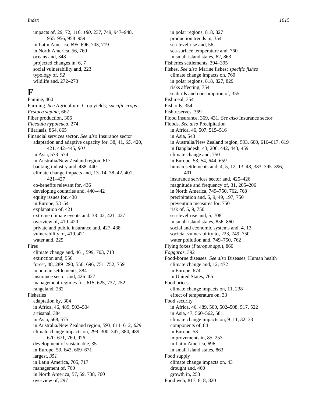impacts of, 29, 72, 116, *180,* 237, 749, 947–948, 955–956, 958–959 in Latin America, 695, 696, 703, 719 in North America, 56, 769 oceans and, 348 projected changes in, 6, 7 social vulnerability and, 223 typology of, *92* wildlife and, 272–273

# **F**

Famine, 460 Farming. *See* Agriculture; Crop yields; *specific crops Festuca supina*, 662 Fiber production, 306 *Ficedula hypoleuca*, 274 Filariasis, 864, 865 Financial services sector. *See also* Insurance sector adaptation and adaptive capacity for, 38, 41, *65,* 420, 421, 442–445, *901* in Asia, 573–574 in Australia/New Zealand region, 617 banking industry and, 438–440 climate change impacts and, 13–14, 38–42, 401, 4 2 1 – 4 2 7 co-benefits relevant for, 436 developing countries and, 440–442 equity issues for, 438 in Europe, 53–54 explanation of, 421 extreme climate events and, 38–42, 421–427 overview of, 419–420 private and public insurance and, 427–438 vulnerability of, 419, 421 water and, 225 Fires climate change and, 461, 599, 703, 713 extinction and, 556 forest, 48, 289–290, 556, 696, 751–752, 759 in human settlements, 384 insurance sector and, 426–427 management regimes for, 615, 625, 737, 752 rangeland, 282 Fisheries adaptation by, 304 in Africa, 46, 489, 503–504 artisanal, 384 in Asia, 568, 575 in Australia/New Zealand region, 593, 611–612, *629* climate change impacts on, 299–300, 347, 384, 489, 670–671, 760, 926 development of sustainable, 35 in Europe, 53, 643, 669–671 largest, *351* in Latin America, 705, 717 management of, 760 in North America, 57, 59, 738, 760 overview of, 297

in polar regions, 818, 827 production trends in, 354 sea-level rise and, 56 sea-surface temperature and, 760 in small island states, 62, 863 Fisheries settlements, 394–395 Fishes. *See also* Marine fishes; *specific fishes* climate change impacts on, 760 in polar regions, 818, 827, 829 risks affecting, 754 seabirds and consumption of, 355 Fishmeal, 354 Fish oils, 354 Fish reserves, 369 Flood insurance, 369, 431. *See also* Insurance sector Floods. *See also* Precipitation in Africa, 46, 507, 515–516 in Asia, 543 in Australia/New Zealand region, 593, 600, 616–617, 619 in Bangladesh, 43, 206, 442, 443, 459 climate change and, 750 in Europe, 53, 54, 644, *659* human settlements and, 4, 5, 12, 13, 43, 383, 395–396, 401 insurance services sector and, 425–426 magnitude and frequency of, 31, 205–206 in North America, 749–750, 762, 768 precipitation and, 5, 9, 49, 197, 750 prevention measures for, 750 risk of, 5, 9, 750 sea-level rise and, 5, 708 in small island states, 856, 860 social and economic systems and, 4, 13 societal vulnerability to, 223, 749, 750 water pollution and, 749–750, 762 Flying foxes (*Pteropus spp.*), 860 *Foggaras*, 392 Food-borne diseases. *See also* Diseases; Human health climate change and, 12, 472 in Europe, 674 in United States, 765 Food prices climate change impacts on, 11, 238 effect of temperature on, 33 Food security in Africa, 46, 489, 500, 502–508, 517, 522 in Asia, 47, 560–562, 581 climate change impacts on, 9–11, 32–33 components of, 84 in Europe, 53 improvements in, 85, 253 in Latin America, 696 in small island states, 863 Food supply climate change impacts on, 43 drought and, 460 growth in, 253 Food web, 817, 818, 820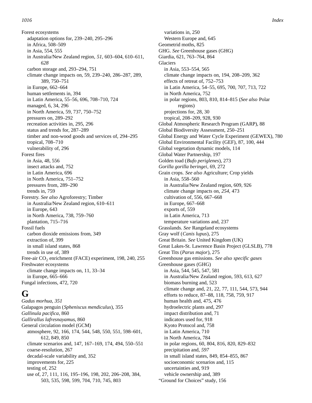Forest ecosystems adaptation options for, 239–240, 295–296 in Africa, 508–509 in Asia, 554, 555 in Australia/New Zealand region, *51,* 603–604, 610–611, *628* carbon storage and, 293–294, 751 climate change impacts on, 59, 239–240, 286–287, 289, 389, 750–751 in Europe, 662–664 human settlements in, 394 in Latin America, 55–56, 696, 708–710, 724 managed, 6, 34, 296 in North America, 59, 737, 750–752 pressures on, 289–292 recreation activities in, 295, 296 status and trends for, 287–289 timber and non-wood goods and services of, 294–295 tropical, 708–710 vulnerability of, 296 Forest fires in Asia, 48, 556 insect attacks and, 752 in Latin America, 696 in North America, 751–752 pressures from, 289–290 trends in, 759 Forestry. *See also* Agroforestry; Timber in Australia/New Zealand region, 610–611 in Europe, 643 in North America, 738, 759–760 plantation, 715–716 Fossil fuels carbon dioxide emissions from, 349 extraction of, 399 in small island states, 868 trends in use of, 389 Free-air  $CO_2$  enrichment (FACE) experiment, 198, 240, 255 Freshwater ecosystems climate change impacts on, 11, 33–34 in Europe, 665–666 Fungal infections, 472, 720

### **G**

*Gadus morhua*, *351* Galapagos penguin (*Spheniscus mendiculus*), 355 *Gallinula pacifica*, 860 *Gallirallus lafresnayamus*, 860 General circulation model (GCM) atmosphere, 92, 166, 174, 544, 548, 550, 551, 598–601, 612, 849, 850 climate scenarios and, 147, 167–169, 174, 494, 550–551 coarse-resolution, 267 decadal-scale variability and, 352 improvements for, 225 testing of, 252 use of, 27, 111, 116, 195–196, 198, 202, 206–208, 384, 503, 535, 598, 599, 704, 710, 745, 803

variations in, 250 Western Europe and, 645 Geometrid moths, 825 GHG. *See* Greenhouse gases (GHG) Giardia, 621, 763–764, 864 **Glaciers** in Asia, 553–554, 565 climate change impacts on, 194, 208–209, 362 effects of retreat of, 752–753 in Latin America, 54–55, 695, 700, 707, 713, 722 in North America, 752 in polar regions, 803, 810, 814–815 (*See also* Polar regions) projections for, 28, 30 tropical, 208–209, 928, 930 Global Atmospheric Research Program (GARP), 88 Global Biodiversity Assessment, 250–251 Global Energy and Water Cycle Experiment (GEWEX), 780 Global Environmental Facility (GEF), 87, 100, 444 Global vegetation dynamic models, 114 Global Water Partnership, 197 Golden toad (*Bufo periglenes*), 273 *Gorilla gorilla beringei*, 69, 272 Grain crops. *See also* Agriculture; Crop yields in Asia, 558–560 in Australia/New Zealand region, 609, 926 climate change impacts on, *254,* 473 cultivation of, 556, 667–668 in Europe, 667–668 exports of, 559 in Latin America, 713 temperature variations and, 237 Grasslands. *See* Rangeland ecosystems Gray wolf (*Canis lupus*), 275 Great Britain. *See* United Kingdom (UK) Great Lakes-St. Lawrence Basin Project (GLSLB), 778 Great Tits (*Parus major*), 275 Greenhouse gas emissions. *See also specific gases* Greenhouse gases (GHG) in Asia, 544, 545, 547, 581 in Australia/New Zealand region, 593, 613, 627 biomass burning and, 523 climate change and, 21, 22, 77, 111, 544, 573, 944 efforts to reduce, 87–88, 118, 758, 759, 917 human health and, 475, 476 hydroelectric plants and, 297 impact distribution and, 71 indicators used for, 918 Kyoto Protocol and, 758 in Latin America, 710 in North America, 784 in polar regions, 60, 804, 816, 820, 829–832 precipitation and, *597* in small island states, 849, 854–855, 867 socioeconomic scenarios and, 115 uncertainties and, 919 vehicle ownership and, 389 "Ground for Choices" study, 156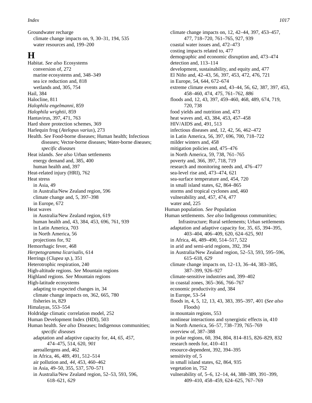Groundwater recharge climate change impacts on, 9, 30–31, 194, 535 water resources and, 199–200

### **H**

Habitat. *See also* Ecosystems conversion of, 272 marine ecosystems and, 348–349 sea ice reduction and, 818 wetlands and, 305, 754 Hail, 384 Halocline, 811 *Halophila engelmanni*, 859 *Halophila wrightii*, 859 Hantavirus, 397, 471, 763 Hard shore protection schemes, 369 Harlequin frog (*Atelopus varius*), 273 Health. *See* Food-borne diseases; Human health; Infectious diseases; Vector-borne diseases; Water-borne diseases; *specific diseases* Heat islands. *See also* Urban settlements energy demand and, 385, 400 human health and, 397 Heat-related injury (HRI), 762 Heat stress in Asia, 49 in Australia/New Zealand region, 596 climate change and, 5, 397–398 in Europe, 672 Heat waves in Australia/New Zealand region, 619 human health and, 43, 384, 453, 696, 761, 939 in Latin America, 703 in North America, 56 projections for, 92 Hemorrhagic fever, 468 *Herpetogramma licarisalis*, 614 Herrings (*Clupea sp.*), 351 Heterotrophic respiration, 240 High-altitude regions. *See* Mountain regions Highland regions. *See* Mountain regions High-latitude ecosystems adapting to expected changes in, 34 climate change impacts on, 362, 665, 780 fisheries in, 829 Himalayas, 553–554 Holdridge climatic correlation model, 252 Human Development Index (HDI), 503 Human health. *See also* Diseases; Indigenous communities; *specific diseases* adaptation and adaptive capacity for, 44, *65, 457,* 474–475, 514, 620, *901* aeroallergens and, 462 in Africa, 46, 489, 491, 512–514 air pollution and, *44,* 453, 460–462 in Asia, 49–50, 355, 537, 570–571 in Australia/New Zealand region, 52–53, 593, 596, 618–621, *629*

climate change impacts on, 12, 42–44, 397, 453–457, 477, 718–720, 761–765, 927, 939 coastal water issues and, 472–473 costing impacts related to, 477 demographic and economic disruption and, 473–474 detection and, 113–114 development, sustainability, and equity and, 477 El Niño and, 42–43, 56, 397, 453, 472, 476, 721 in Europe, 54, 644, 672–674 extreme climate events and, 43–44, 56, 62, 387, 397, 453, 458–460, 474, *475,* 761–762, *886* floods and, 12, 43, 397, 459–460, 468, 489, 674, 719, 720, 738 food yields and nutrition and, 473 heat waves and, 43, 384, 453, 457–458 HIV/AIDS and, 491, 513 infectious diseases and, 12, 42, 56, 462–472 in Latin America, 56, 397, 696, 700, 718–722 milder winters and, 458 mitigation policies and, 475–476 in North America, 59, 738, 761–765 poverty and, 366, 397, 718, 719 research and monitoring needs and, 476–477 sea-level rise and, 473–474, 621 sea-surface temperature and, 454, 720 in small island states, 62, 864–865 storms and tropical cyclones and, 460 vulnerability and, 457, 474, 477 water and, 225 Human population. *See* Population Human settlements. *See also* Indigenous communities; Infrastructure; Rural settlements; Urban settlements adaptation and adaptive capacity for, 35, *65,* 394–395, 403–404, 406–409, 620, 624–625, *901* in Africa, 46, 489–490, 514–517, 522 in arid and semi-arid regions, 392, 394 in Australia/New Zealand region, 52–53, 593, 595–596, 615–618, *629* climate change impacts on, 12–13, 36–44, 383–385, 387–399, 926–927 climate-sensitive industries and, 399–402 in coastal zones, 365–366, 766–767 economic productivity and, 384 in Europe, 53–54 floods in, 4, 5, 12, 13, 43, 383, 395–397, 401 (*See also* Floods) in mountain regions, 553 nonlinear interactions and synergistic effects in, 410 in North America, 56–57, 738–739, 765–769 overview of, 387–388 in polar regions, 60, 394, 804, 814–815, 826–829, 832 research needs for, 410–411 resource-dependent, 392, 394–395 sensitivity of, 5 in small island states, 62, 864, 935 vegetation in, 752 vulnerability of, 5–6, 12–14, 44, 388–389, 391–399, 409–410, 458–459, 624–625, 767–769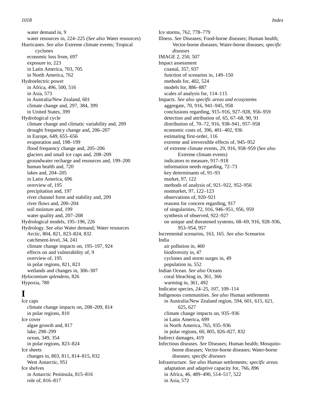water demand in, 9 water resources in, 224–225 (*See also* Water resources) Hurricanes. *See also* Extreme climate events; Tropical cyclones economic loss from, 697 exposure to, 223 in Latin America, 703, 705 in North America, 762 Hydroelectric power in Africa, 496, 500, 516 in Asia, 573 in Australia/New Zealand, 601 climate change and, 297, 384, 399 in United States, 399 Hydrological cycle climate change and climatic variability and, 209 drought frequency change and, 206–207 in Europe, 649, 655–656 evaporation and, 198–199 flood frequency change and, 205–206 glaciers and small ice caps and, 208–209 groundwater recharge and resources and, 199–200 human health and, 720 lakes and, 204–205 in Latin America, 696 overview of, 195 precipitation and, 197 river channel form and stability and, 209 river flows and, 200–204 soil moisture and, 199 water quality and, 207–208 Hydrological models, 195–196, 226 Hydrology. *See also* Water demand; Water resources Arctic, 804, 821, 823–824, 832 catchment-level, 34, 241 climate change impacts on, 195–197, 924 effects on and vulnerability of, 9 overview of, 195 in polar regions, 821, 823 wetlands and changes in, 306–307 *Hylocomium splendens*, 826 Hypoxia, 780

## **I**

Ice caps climate change impacts on, 208–209, 814 in polar regions, 810 Ice cover algae growth and, 817 lake, 298–299 ocean, 349, 354 in polar regions, 823–824 Ice sheets changes in, 803, 811, 814–815, 832 West Antarctic, 951 Ice shelves in Antarctic Peninsula, 815–816 role of, 816–817

Ice storms, 762, 778–779 Illness. *See* Diseases; Food-borne diseases; Human health; Vector-borne diseases; Water-borne diseases; *specific diseases* IMAGE 2, 250, 507 Impact assessment coastal, 357, 937 function of scenarios in, 149–150 methods for, 402, 524 models for, 886–887 scales of analysis for, 114–115 Impacts. *See also specific areas and ecosystems* aggregate, 70, 916, 941–945, 958 conclusions regarding, 915–916, 927–928, 956–959 detection and attribution of, 65, 67–68, 90, 91 distribution of, 70–72, 916, 938–941, 957–958 economic costs of, 396, 401–402, 936 estimating first-order, 116 extreme and irreversible effects of, 945–952 of extreme climate events, 29, 916, 958–959 (*See also* Extreme climate events) indicators to measure, 917–918 information needs regarding, 72–73 key determinants of, 91–93 market, 97, 122 methods of analysis of, 921–922, 952–956 nonmarket, 97, 122–123 observations of, 920–921 reasons for concern regarding, 917 of singularities, 72, 916, 946–951, 956, 959 synthesis of observed, 922–927 on unique and threatened systems, 68–69, 916, 928–936, 953–954, 957 Incremental scenarios, 163, 165. *See also* Scenarios India air pollution in, 460 biodiversity in, 47 cyclones and storm surges in, 49 population in, 552 Indian Ocean. *See also* Oceans coral bleaching in, 361, 366 warming in, 361, 492 Indicator species, 24–25, 107, 109–114 Indigenous communities. *See also* Human settlements in Australia/New Zealand region, 594, 601, 615, 621, 625, 627 climate change impacts on, 935–936 in Latin America, 699 in North America, 765, 935–936 in polar regions, 60, 805, 826–827, 832 Indirect damages, 419 Infectious diseases. *See* Diseases; Human health; Mosquitoborne diseases; Vector-borne diseases; Water-borne diseases; *specific diseases* Infrastructure. *See also* Human settlements; *specific areas* adaptation and adaptive capacity for, 766, 896 in Africa, 46, 489–490, 514–517, 522 in Asia, 572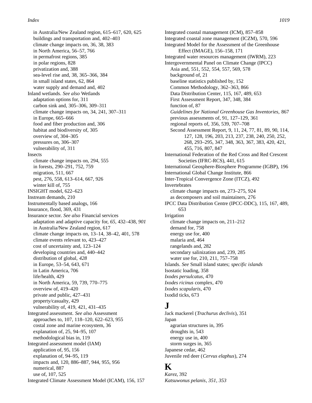in Australia/New Zealand region, 615–617, 620, 625 buildings and transportation and, 402–403 climate change impacts on, 36, 38, 383 in North America, 56–57, 766 in permafrost regions, 385 in polar regions, 828 privatization and, 388 sea-level rise and, 38, 365–366, 384 in small island states, 62, 864 water supply and demand and, 402 Inland wetlands. *See also* Wetlands adaptation options for, 311 carbon sink and, 305–306, 309–311 climate change impacts on, 34, 241, 307–311 in Europe, 665–666 food and fiber production and, 306 habitat and biodiversity of, 305 overview of, 304–305 pressures on, 306–307 vulnerability of, 311 Insects climate change impacts on, 294, 555 in forests, 290–291, 752, 759 migration, 511, 667 pest, 276, 558, 613–614, 667, 926 winter kill of, 755 INSIGHT model, 622–623 Instream demands, 210 Instrumentally based analogs, 166 Insurance, flood, 369, 431 Insurance sector. *See also* Financial services adaptation and adaptive capacity for, *65,* 432–438, *901* in Australia/New Zealand region, 617 climate change impacts on, 13–14, 38–42, 401, 578 climate events relevant to, 423–427 cost of uncertainty and, 123–124 developing countries and, 440–442 distribution of global, *428* in Europe, 53–54, 643, 671 in Latin America, 706 life/health, 429 in North America, 59, 739, 770–775 overview of, 419–420 private and public, 427–431 property/casualty, 429 vulnerability of, 419, 421, 431–435 Integrated assessment. *See also* Assessment approaches to, 107, 118–120, 622–623, 955 costal zone and marine ecosystem, 36 explanation of, 25, 94–95, 107 methodological bias in, 119 Integrated assessment model (IAM) application of, 95, 156 explanation of, 94–95, 119 impacts and, 120, 886–887, 944, 955, 956 numerical, 887 use of, 107, 525 Integrated Climate Assessment Model (ICAM), 156, 157

Integrated coastal management (ICM), 857–858 Integrated coastal zone management (ICZM), 570, 596 Integrated Model for the Assessment of the Greenhouse Effect (IMAGE), 156–158, 171 Integrated water resources management (IWRM), 223 Intergovernmental Panel on Climate Change (IPCC) Asia and, 551, 552, 554, 557, 569, 578 background of, 21 baseline statistics published by, 152 Common Methodology, 362–363, 866 Data Distribution Center, 115, 167, 489, 653 First Assessment Report, 347, 348, 384 function of, 87 *Guidelines for National Greenhouse Gas Inventories,* 867 previous assessments of, 91, 127–129, 361 regional reports of, 356, 539, 707–708 Second Assessment Report, 9, 11, 24, 77, 81, 89, 90, 114, 127, 128, 196, 203, 213, 237, 238, 240, 250, 252, 268, 293–295, 347, 348, 363, 367, 383, 420, 421, 455, 716, 807, 847 International Federation of the Red Cross and Red Crescent Societies (IFRC-RCS), 441, 615 International Geosphere-Biosphere Programme (IGBP), 196 International Global Change Institute, 866 Inter-Tropical Convergence Zone (ITCZ), 492 Invertebrates climate change impacts on, 273–275, 924 as decomposers and soil maintainers, 276 IPCC Data Distribution Centre (IPCC-DDC), 115, 167, 489, 653 Irrigation climate change impacts on, 211–212 demand for, 758 energy use for, 400 malaria and, 464 rangelands and, 282 secondary salinization and, 239, 285 water use for, 210, 211, 757–758 Islands. *See* Small island states; *specific islands* Isostatic loading, 358 *Ixodes persulcatus*, 470 *Ixodes ricinus* complex, 470 *Ixodes scapularis*, 470 Ixodid ticks, 673

### **J**

Jack mackerel (*Trachurus declivis*), 351 Japan agrarian structures in, 395 droughts in, 543 energy use in, 400 storm surges in, 365 Japanese cedar, 462 Juvenile red deer (*Cervus elaphus*), 274

### **K**

*Karez*, 392 *Katsuwonus pelanis*, *351, 353*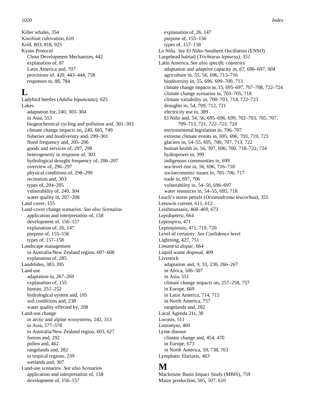Killer whales, 354 Kiwifruit cultivation, 610 Krill, 803, 818, 925 Kyoto Protocol Clean Development Mechanism, 442 explanation of, 87 Latin America and, 707 provisions of, 420, 443–444, 758 responses to, 88, 784

### **L**

Ladybird beetles (*Adalia bipunctata*), 925 Lakes adaptation for, 240, 303–304 in Asia, 553 biogeochemical cycling and pollution and, 301–303 climate change impacts on, 240, 665, 749 fisheries and biodiversity and, 299–301 flood frequency and, 205–206 goods and services of, 297, 298 heterogeneity in response of, 303 hydrological drought frequency of, 206–207 overview of, 296–297 physical conditions of, 298–299 recreation and, 303 types of, 204–205 vulnerability of, 240, 304 water quality in, 207–208 Land cover, 155 Land-cover change scenarios. *See also* Scenarios application and interpretation of, 158 development of, 156–157 explanation of, 26, 147 purpose of, 155–156 types of, 157–158 Landscape management in Australia/New Zealand region, 607–608 explanation of, 285 Landslides, 383, 395 Land use adaptation in, 267–269 explanation of, 155 human, 251–252 hydrological system and, 195 soil conditions and, 238 water quality effected by, 208 Land-use change in arctic and alpine ecosystems, 242, 313 in Asia, 577–578 in Australia/New Zealand region, 603, 627 forests and, 292 pollen and, 462 rangelands and, 282 in tropical regions, 239 wetlands and, 307 Land-use scenarios. *See also* Scenarios application and interpretation of, 158 development of, 156–157

explanation of, 26, 147 purpose of, 155–156 types of, 157–158 La Niña. *See* El Niño–Southern Oscillation (ENSO) Largehead hairtail (*Trichiarus lepturus*), *351* Latin America. *See also specific countries* adaptation and adaptive capacity in, *67,* 696–697, *904* agriculture in, *55,* 56, 696, 713–716 biodiversity in, 55, 696, 699–700, 713 climate change impacts in, 15, 695–697, 707–708, 722–724 climate change scenarios in, 703–705, 718 climate variability in, 700–703, 714, 722–723 droughts in, 54, 709, 712, 721 electricity use in, 389 El Niño and, 54, 56, 695–696, 699, 702–703, 705, 707, 709–713, 721, *722–723,* 724 environmental legislation in, 706–707 extreme climate events in, 695, 696, 703, 719, 723 glaciers in, 54–55, 695, 700, 707, 713, 722 human health in, 56, 397, 696, 700, 718–722, 724 hydropower in, 399 indigenous communities in, 699 sea-level rise in, 56, 696, 716–718 socioeconomic issues in, 705–706, 717 trade in, 697, 706 vulnerability in, 54–56, 696–697 water resources in, 54–55, 695, 718 Leach's storm petrels (*Oceanodroma leucorhoa*), 355 Leeuwin current, 611, 612 Leishmaniasis, 468–469, 673 *Lepidoptera*, 664 *Leptospira*, 471 Leptospirosis, 471, 719, 720 Level of certainty. *See* Confidence level Lightning, 427, 751 *Limantria dispar*, 664 Liquid waste disposal, 409 Livestock adaptation and, 9, 33, 238, 266–267 in Africa, 506–507 in Asia, 551 climate change impacts on, 257–258, 757 in Europe, 669 in Latin America, 714, 715 in North America, 757 rangelands and, 282 Local Agenda 21s, 38 Locusts, 511 *Lutzomyia*, 469 Lyme disease climate change and, 454, 470 in Europe, 673 in North America, 59, 738, 763 Lymphatic filariasis, *463*

### **M**

Mackenzie Basin Impact Study (MBIS), 759 Maize production, 505, 507, 610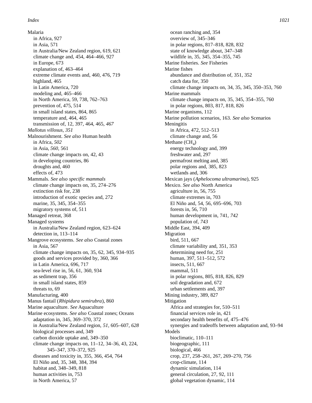Malaria in Africa, 927 in Asia, 571 in Australia/New Zealand region, 619, 621 climate change and, 454, 464–466, 927 in Europe, 673 explanation of, 463–464 extreme climate events and, 460, 476, 719 highland, 465 in Latin America, 720 modeling and, 465–466 in North America, 59, 738, 762–763 prevention of, 475, 514 in small island states, 864, 865 temperature and, 464, 465 transmission of, 12, 397, 464, 465, *467 Mallotus villosus*, *351* Malnourishment. *See also* Human health in Africa, *502* in Asia, *560,* 561 climate change impacts on, 42, 43 in developing countries, 86 droughts and, 460 effects of, 473 Mammals. *See also specific mammals* climate change impacts on, 35, 274–276 extinction risk for, 238 introduction of exotic species and, 272 marine, 35, 345, 354–355 migratory systems of, 511 Managed retreat, 368 Managed systems in Australia/New Zealand region, 623–624 detection in, 113–114 Mangrove ecosystems. *See also* Coastal zones in Asia, 567 climate change impacts on, 35, 62, 345, 934–935 goods and services provided by, 360, 366 in Latin America, 696, 717 sea-level rise in, 56, 61, 360, 934 as sediment trap, 356 in small island states, 859 threats to, 69 Manufacturing, 400 Manus fantail (*Rhipidura semirubra*), 860 Marine aquaculture. *See* Aquaculture Marine ecosystems. *See also* Coastal zones; Oceans adaptation in, 345, 369–370, 372 in Australia/New Zealand region, *51,* 605–607, *628* biological processes and, 349 carbon dioxide uptake and, 349–350 climate change impacts on, 11–12, 34–36, 43, 224, 345–347, 370–372, 925 diseases and toxicity in, 355, 366, 454, 764 El Niño and, 35, 348, 384, 394 habitat and, 348–349, 818 human activities in, 753 in North America, 57

ocean ranching and, 354 overview of, 345–346 in polar regions, 817–818, 828, 832 state of knowledge about, 347–348 wildlife in, 35, 345, 354–355, 745 Marine fisheries. *See* Fisheries Marine fishes abundance and distribution of, 351, 352 catch data for, 350 climate change impacts on, 34, 35, 345, 350–353, 760 Marine mammals climate change impacts on, 35, 345, 354–355, 760 in polar regions, 803, 817, 818, 826 Marine organisms, 112 Marine pollution scenarios, 163. *See also* Scenarios **Meningitis** in Africa, 472, 512–513 climate change and, 56 Methane  $(CH_4)$ energy technology and, 399 freshwater and, 297 permafrost melting and, 385 polar regions and, 385, 823 wetlands and, 306 Mexican jays (*Aphelocoma ultramarina*), 925 Mexico. *See also* North America agriculture in, 56, 755 climate extremes in, 703 El Niño and, 54, 56, 695–696, 703 forests in, 56, 710 human development in, 741, *742* population of, *743* Middle East, 394, 409 Migration bird, 511, 667 climate variability and, 351, 353 determining need for, 251 human, 397, 511–512, 572 insects, 511, 667 mammal, 511 in polar regions, 805, 818, 826, 829 soil degradation and, 672 urban settlements and, 397 Mining industry, 389, 827 Mitigation Africa and strategies for, 510–511 financial services role in, 421 secondary health benefits of, 475–476 synergies and tradeoffs between adaptation and, 93–94 Models bioclimatic, 110–111 biogeographic, 111 biological, 466 crop, 237, 258–261, 267, 269–270, 756 crop-climate, 114 dynamic simulation, 114 general circulation, 27, 92, 111 global vegetation dynamic, 114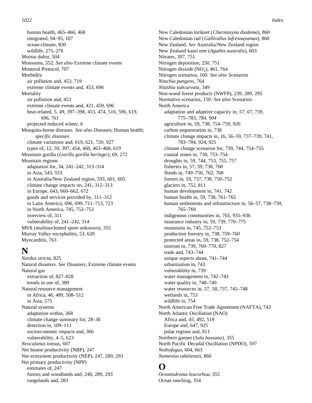human health, 465–466, 468 integrated, 94–95, 107 ocean-climate, 830 wildlife, 275–276 *Moinia dubia*, 504 Monsoons, 552. *See also* Extreme climate events Montreal Protocol, 707 Morbidity air pollution and, 453, 719 extreme climate events and, 453, 696 **Mortality** air pollution and, 453 extreme climate events and, 421, 459, 696 heat-related, 5, 49, 397–398, 453, 474, 516, 596, 619, 696, 761 projected reduced winter, 6 Mosquito-borne diseases. *See also D*iseases; Human health; *specific diseases* climate variations and, 619, 621, 720, 927 types of, 12, 59, 397, 454, 460, 463–468, 619 Mountain gorilla (*Gorilla gorilla beringei*), 69, 272 Mountain regions adaptation for, 34, 241–242, 313–314 in Asia, 543, 553 in Australia/New Zealand region, 593, 601, 605 climate change impacts on, 241, 312–313 in Europe, 643, 660–662, 672 goods and services provided by, 311–312 in Latin America, 696, 699, 711–713, 723 in North America, 745, 752–753 overview of, 311 vulnerability of, 241–242, 314 MSX (multinucleated spore unknown), 355 Murray Valley encephalitis, 53, 620 Myocarditis, 763

### **N**

*Nardus stricta*, 825 Natural disasters. *See* Disasters; Extreme climate events Natural gas extraction of, 827–828 trends in use of, 389 Natural resource management in Africa, 46, 489, 508–512 in Asia, 575 Natural systems adaptation within, 368 climate change summary for, 28–36 detection in, 109–111 socioeconomic impacts and, 366 vulnerability, 4–5, 623 *Neocalanus tonsus*, 607 Net biome productivity (NBP), 247 Net ecosystem productivity (NEP), 247, 289, 293 Net primary productivity (NPP) estimates of, 247 forests and woodlands and, 240, 289, 293 rangelands and, 283

New Caledonian lorikeet (*Charmosyna diadema*), 860 New Caledonian rail (*Gallirallus lafresnayamus*), 860 New Zealand. *See* Australia/New Zealand region New Zealand kauri tree (*Agathis australis*), 603 Nitrates, 207, 751 Nitrogen deposition, 250, 751 Nitrogen dioxide  $(NO<sub>2</sub>)$ , 461, 764 Nitrogen scenarios, 160. *See also* Scenarios *Nitzchia pungens*, 764 *Nitzshia subcurvata*, 349 Non-wood forest products (NWFP), 239, 289, 295 Normative scenarios, 150. *See also* Scenarios North America adaptation and adaptive capacity in, *57, 67,* 739, 775–783, *784, 904* agriculture in, 59, 738, 754–759, 926 carbon sequestration in, 738 climate change impacts in, 16, 56–59, 737–739, 741, 783–784, 924, 925 climate change scenarios for, 739, 744, 754–755 coastal zones in, 738, 753–754 droughts in, 59, 744, 753, 755, 757 fisheries in, 57, 59, 738, 760 floods in, 749–750, 762, 768 forests in, 59, 737, 738, 750–752 glaciers in, 752, 811 human development in, 741, *742* human health in, 59, 738, 761–765 human settlements and infrastructure in, 56–57, 738–739, 765–769 indigenous communities in, 765, 935–936 insurance industry in, 59, 739, 770–775 mountains in, 745, 752–753 production forestry in, 738, 759–760 protected areas in, 59, 738, 752–754 tourism in, 739, 769–770, 827 trade and, 743–744 unique aspects about, 741–744 urbanization in, 743 vulnerability in, 739 water management in, 742–743 water quality in, 748–749 water resources in, 57, *58,* 737, 745–748 wetlands in, 753 wildlife in, 754 North American Free Trade Agreement (NAFTA), 743 North Atlantic Oscillation (NAO) Africa and, *45,* 492, 519 Europe and, 647, 925 polar regions and, 811 Northern gannet (*Sula bassana*), 355 North Pacific Decadal Oscillation (NPDO), 597 *Nothofagus*, 604, 663 *Numenius tahitiensis*, 860

### **O**

*Oceanodroma leucorhoa*, 355 Ocean ranching, 354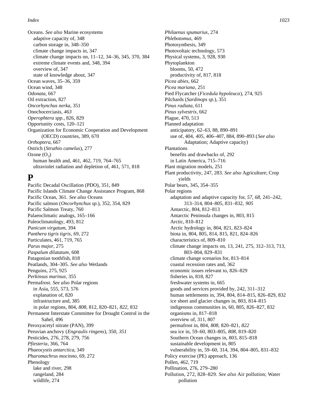Oceans. *See also* Marine ecosystems adaptive capacity of, 348 carbon storage in, 348–350 climate change impacts in, 347 climate change impacts on, 11–12, 34–36, 345, 370, 384 extreme climate events and, 348, 394 overview of, 347 state of knowledge about, 347 Ocean waves, 35–36, 359 Ocean wind, 348 *Odonata*, 667 Oil extraction, 827 *Oncorhynchus nerka*, 351 Onochocerciasis, *463 Operophtera spp.*, 826, 829 Opportunity costs, 120–121 Organization for Economic Cooperation and Development (OECD) countries, 389, 670 *Orthoptera*, 667 Ostrich (*Struthio camelus*), 277 Ozone  $(O_3)$ human health and, 461, 462, 719, 764–765 ultraviolet radiation and depletion of, 461, 571, 818

## **P**

Pacific Decadal Oscillation (PDO), 351, 849 Pacific Islands Climate Change Assistance Program, 868 Pacific Ocean, 361. *See also* Oceans Pacific salmon (*Oncorhynchus sp.*), 352, 354, 829 Pacific Salmon Treaty, 760 Palaeoclimatic analogs, 165–166 Paleoclimatology, 493, 812 *Panicum virgatum*, 394 *Panthera tigris tigris*, 69, 272 Particulates, 461, 719, 765 *Parus major*, 275 *Paspalum dilatatum*, 608 Patagonian toothfish, 818 Peatlands, 304–305. *See also* Wetlands Penguins, 275, 925 *Perkinsus marinus*, 355 Permafrost. *See also* Polar regions in Asia, 555, 573, 576 explanation of, 820 infrastructure and, 385 in polar regions, 804, *808,* 812, 820–821, *822,* 832 Permanent Interstate Committee for Drought Control in the Sahel, 496 Peroxyacetyl nitrate (PAN), 399 Peruvian anchovy (*Engraulis ringens*), 350, *351* Pesticides, 276, 278, 279, 756 *Pfiesteria*, 366, 764 *Phaeocystis antarctica*, 349 *Pharomachrus mocinno*, 69, 272 Phenology lake and river, 298 rangeland, 284 wildlife, 274

*Philaenus spumarius*, 274 *Phlebotomus*, 469 Photosynthesis, 349 Photovoltaic technology, 573 Physical systems, 3, 928, 930 Phytoplankton blooms, 50, 472 productivity of, 817, 818 *Picea abies*, 662 *Picea mariana*, 251 Pied Flycatcher (*Ficedula hypoleuca*), 274, 925 Pilchards (*Sardinops sp.*), 351 *Pinus radiata*, 611 *Pinus sylvestris*, 662 Plague, 470, 513 Planned adaptation anticipatory, 62–63, 88, 890–891 use of, 404, *405,* 406–407, 884, 890–893 (*See also* Adaptation; Adaptive capacity) Plantations benefits and drawbacks of, 292 in Latin America, 715–716 Plant migration models, 251 Plant productivity, 247, 283. *See also* Agriculture; Crop yields Polar bears, 345, 354–355 Polar regions adaptation and adaptive capacity for, *57, 68,* 241–242, 313–314, 804–805, 831–832, *905* Antarctic, 804, 812–813 Antarctic Peninsula changes in, 803, 815 Arctic, 810–812 Arctic hydrology in, 804, 821, 823–824 biota in, 804, 805, 814, 815, 821, 824–826 characteristics of, 809–810 climate change impacts on, 13, 241, 275, 312–313, 713, 803–804, 829–831 climate change scenarios for, 813–814 coastal recession rates and, 362 economic issues relevant to, 826–829 fisheries in, 818, 827 freshwater systems in, 665 goods and services provided by, 242, 311–312 human settlements in, 394, 804, 814–815, 826–829, 832 ice sheet and glacier changes in, 803, 814–815 indigenous communities in, 60, 805, 826–827, 832 organisms in, 817–818 overview of, 311, 807 permafrost in, 804, *808,* 820–821, *822* sea ice in, 59–60, 803–805, *808,* 819–820 Southern Ocean changes in, 803, 815–818 sustainable development in, 805 vulnerability in, 59–60, 314, 394, 804–805, 831–832 Policy exercise (PE) approach, 136 Pollen, 462, 719 Pollination, 276, 279–280 Pollution, 272, 828–829. See also Air pollution; Water pollution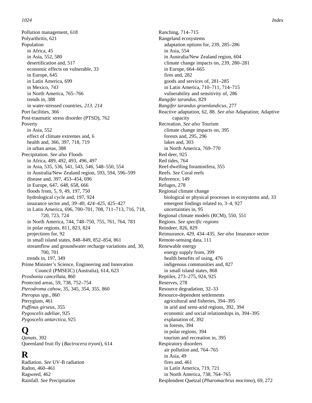Pollution management, 618 Polyarthritis, 621 Population in Africa, 45 in Asia, 552, 580 desertification and, 517 economic effects on vulnerable, 33 in Europe, 645 in Latin America, 699 in Mexico, *743* in North America, 765–766 trends in, 388 in water-stressed countries, *213, 214* Port facilities, 366 Post-traumatic stress disorder (PTSD), 762 Poverty in Asia, 552 effect of climate extremes and, 6 health and, 366, 397, 718, 719 in urban areas, 388 Precipitation. *See also* Floods in Africa, 489, 492, 493, *496,* 497 in Asia, 535, 536, 541, 543, *546,* 548–550, 554 in Australia/New Zealand region, 593, 594, 596–599 disease and, 397, 453–454, 696 in Europe, 647, *648,* 658, 666 floods from, 5, 9, 49, 197, 750 hydrological cycle and, 197, 924 insurance sector and, *39–40, 424–425,* 425–427 in Latin America, 696, 700–701, 708, 711–713, 716, 718, 720, 723, 724 in North America, 744, 748–750, 755, 761, 764, 783 in polar regions, 811, 823, 824 projections for, 92 in small island states, 848–849, 852–854, 861 streamflow and groundwater recharge variations and, 30, 700, 701 trends in, 197, 349 Prime Minister's Science, Engineering and Innovation Council (PMSEIC) (Australia), 614, 623 *Prosbonia cancellata*, 860 Protected areas, 59, 738, 752–754 *Pterodroma cahow*, 35, 345, 354, 355, 860 *Pteropus spp.,* 860 Pterygium, 461 *Puffinus girseus*, 355 *Pygoscelis adeliae*, 925

### **Q**

*Qanats*, 392 Queenland fruit fly (*Bactrocera tryoni*), 614

### **R**

Radiation. *See* UV-B radiation Radon, 460–461 Ragweed, 462 Rainfall. *See* Precipitation

*Pygoscelis antarctica*, 925

Ranching, 714–715 Rangeland ecosystems adaptation options for, 239, 285–286 in Asia, 554 in Australia/New Zealand region, 604 climate change impacts on, 239, 280–281 in Europe, 664–665 fires and, 282 goods and services of, 281–285 in Latin America, 710–711, 714–715 vulnerability and sensitivity of, 286 *Rangifer tarandus*, 829 *Rangifer tarandus groenlandicus*, 277 Reactive adaptation, 62, 88. *See also* Adaptation; Adaptive capacity Recreation. *See also* Tourism climate change impacts on, 395 forests and, 295, 296 lakes and, 303 in North America, 769–770 Red deer, 925 Red tides, 764 Reef-dwelling foraminifera, 355 Reefs. *See* Coral reefs Reference, 149 Refuges, 278 Regional climate change biological or physical processes in ecosystems and, 33 emergent findings related to, 3–4, 927 uncertainties in, 95 Regional climate models (RCM), 550, 551 Regions. *See specific regions* Reindeer, 826, 829 Reinsurance, 429, 434–435. *See also* Insurance sector Remote-sensing data, 111 Renewable energy energy supply from, 399 health benefits of using, 476 indigenous communities and, 827 in small island states, 868 Reptiles, 273–275, 924, 925 Reserves, 278 Resource degradation, 32–33 Resource-dependent settlements agricultural and fisheries, 394–395 in arid and semi-arid regions, 392, 394 economic and social relationships in, 394–395 explanation of, 392 in forests, 394 in polar regions, 394 tourism and recreation in, 395 Respiratory disorders air pollution and, 764–765 in Asia, 49 fires and, 461 in Latin America, 719, 721 in North America, 738, 764–765

Resplendent Quetzal (*Pharomachrus mocinno*), 69, 272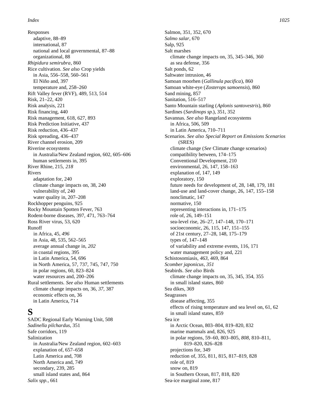Responses adaptive, 88–89 international, 87 national and local governmental, 87–88 organizational, 88 *Rhipidura semirubra*, 860 Rice cultivation. *See also* Crop yields in Asia, 556–558, 560–561 El Niño and, 397 temperature and, 258–260 Rift Valley fever (RVF), 489, 513, 514 Risk, 21–22, 420 Risk analysis, 221 Risk financing, 440 Risk management, 618, 627, 893 Risk Prediction Initiative, 437 Risk reduction, 436–437 Risk spreading, 436–437 River channel erosion, 209 Riverine ecosystems in Australia/New Zealand region, 602, 605–606 human settlements in, 395 River Rhine, 215, *218* Rivers adaptation for, 240 climate change impacts on, 38, 240 vulnerability of, 240 water quality in, 207–208 Rockhopper penguins, 925 Rocky Mountain Spotten Fever, 763 Rodent-borne diseases, 397, 471, 763–764 Ross River virus, 53, 620 Runoff in Africa, 45, *496* in Asia, 48, 535, 562–565 average annual change in, *202* in coastal regions, 395 in Latin America, 54, 696 in North America, 57, 737, 745, 747, 750 in polar regions, 60, 823–824 water resources and, 200–206 Rural settlements. *See also* Human settlements climate change impacts on, 36, *37,* 387 economic effects on, 36 in Latin America, 714

### **S**

SADC Regional Early Warning Unit, 508 *Sadinella pilchardus*, 351 Safe corridors, 119 Salinization in Australia/New Zealand region, 602–603 explanation of, 657–658 Latin America and, 708 North America and, 749 secondary, 239, 285 small island states and, 864 *Salix spp.*, 661

Salmon, 351, 352, 670 *Salmo salar*, 670 Salp, 925 Salt marshes climate change impacts on, 35, 345–346, 360 as sea defense, 356 Salt ponds, 62 Saltwater intrusion, 46 Samoan moorhen (*Gallinula pacifica*), 860 Samoan white-eye (*Zosterops samoensis*), 860 Sand mining, 857 Sanitation, 516–517 Santo Mountain starling (*Aplonis santovestris*), 860 Sardines (*Sardinops sp.*), 351, 352 Savannas. *See also* Rangeland ecosystems in Africa, 506, 509 in Latin America, 710–711 Scenarios. *See also Special Report on Emissions Scenarios* (SRES) climate change (*See* Climate change scenarios) compatibility between, 174–175 Conventional Development, 210 environmental, 26, 147, 158–163 explanation of, 147, 149 exploratory, 150 future needs for development of, 28, 148, 179, 181 land-use and land-cover change, 26, 147, 155–158 nonclimatic, 147 normative, 150 representing interactions in, 171–175 role of, 26, 149–151 sea-level rise, 26–27, 147–148, 170–171 socioeconomic, 26, 115, 147, 151–155 of 21st century, 27–28, 148, 175–179 types of, 147–148 of variability and extreme events, 116, 171 water management policy and, 221 Schistosomiasis, *463,* 469, 864 *Scomber japonicus*, *351* Seabirds. *See also* Birds climate change impacts on, 35, 345, 354, 355 in small island states, 860 Sea dikes, 369 Seagrasses disease affecting, 355 effects of rising temperature and sea level on, 61, 62 in small island states, 859 Sea ice in Arctic Ocean, 803–804, 819–820, 832 marine mammals and, 826, 925 in polar regions, 59–60, 803–805, *808,* 810–811, 819–820, 826–828 projections for, 349 reduction of, 355, 811, 815, 817–819, 828 role of, 819 snow on, 819 in Southern Ocean, 817, 818, 820 Sea-ice marginal zone, 817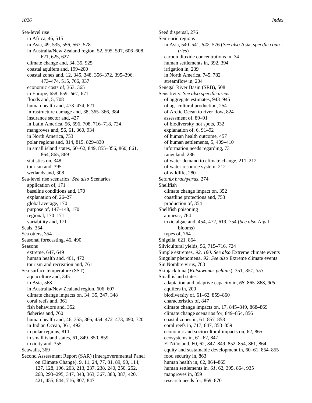Sea-level rise in Africa, 46, 515 in Asia, 49, 535, 556, 567, 578 in Australia/New Zealand region, 52, 595, 597, 606–608, 621, 625, 627 climate change and, 34, 35, 925 coastal aquifers and, 199–200 coastal zones and, 12, 345, 348, 356–372, 395–396, 473–474, 515, 766, 937 economic costs of, 363, 365 in Europe, 658–659, *661,* 671 floods and, 5, 708 human health and, 473–474, 621 infrastructure damage and, 38, 365–366, 384 insurance sector and, 427 in Latin America, 56, 696, 708, 716–718, 724 mangroves and, 56, 61, 360, 934 in North America, 753 polar regions and, 814, 815, 829–830 in small island states, 60–62, 849, 855–856, 860, 861, 864, 865, 869 statistics on, 348 tourism and, 395 wetlands and, 308 Sea-level rise scenarios. *See also* Scenarios application of, 171 baseline conditions and, 170 explanation of, 26–27 global average, 170 purpose of, 147–148, 170 regional, 170–171 variability and, 171 Seals, 354 Sea otters, 354 Seasonal forecasting, 46, 490 Seasons extreme, 647, 649 human health and, 461, 472 tourism and recreation and, 761 Sea-surface temperature (SST) aquaculture and, 345 in Asia, 568 in Australia/New Zealand region, 606, 607 climate change impacts on, 34, 35, 347, 348 coral reefs and, 361 fish behaviors and, 352 fisheries and, 760 human health and, 46, 355, 366, 454, 472–473, 490, 720 in Indian Ocean, 361, 492 in polar regions, 811 in small island states, 61, 849–850, 859 toxicity and, 355 Seawalls, 369 Second Assessment Report (SAR) (Intergovernmental Panel on Climate Change), 9, 11, 24, 77, 81, 89, 90, 114, 127, 128, 196, 203, 213, 237, 238, 240, 250, 252, 268, 293–295, 347, 348, 363, 367, 383, 387, 420, 421, 455, 644, 716, 807, 847

Seed dispersal, 276 Semi-arid regions in Asia, 540–541, *542,* 576 (*See also* Asia; *specific coun tries*) carbon dioxide concentrations in, 34 human settlements in, 392, 394 irrigation in, 239 in North America, 745, 782 streamflow in, 204 Senegal River Basin (SRB), 508 Sensitivity. *See also specific areas* of aggregate estimates, 943–945 of agricultural production, 254 of Arctic Ocean to river flow, 824 assessment of, 89–91 of biodiversity hot spots, 932 explanation of, 6, 91–92 of human health outcome, 457 of human settlements, 5, 409–410 information needs regarding, 73 rangeland, 286 of water demand to climate change, 211–212 of water resource system, 212 of wildlife, 280 *Setonix brachyurus*, 274 Shellfish climate change impact on, 352 coastline protections and, 753 production of, 354 Shellfish poisoning amnesic, 764 toxic algae and, 454, 472, 619, 754 (*See also* Algal blooms) types of, 764 Shigella, 621, 864 Silvicultural yields, 56, 715–716, 724 Simple extremes, *92, 180*. *See also* Extreme climate events Singular phenomena, *92*. *See also* Extreme climate events Sin Nombre virus, 763 Skipjack tuna (*Katsuwonus pelanis*), 351, *351, 353* Small island states adaptation and adaptive capacity in, *68,* 865–868, *905* aquifers in, 200 biodiversity of, 61–62, 859–860 characteristics of, 847 climate change impacts on, 17, 845–849, 868–869 climate change scenarios for, 849–854, 856 coastal zones in, 61, 857–858 coral reefs in, 717, 847, 858–859 economic and sociocultural impacts on, 62, 865 ecosystems in, 61–62, 847 El Niño and, 60, 62, 847–849, 852–854, 861, 864 equity and sustainable development in, 60–61, 854–855 food security in, 863 human health in, 62, 864–865 human settlements in, *61,* 62, 395, 864, 935 mangroves in, 859 research needs for, 869–870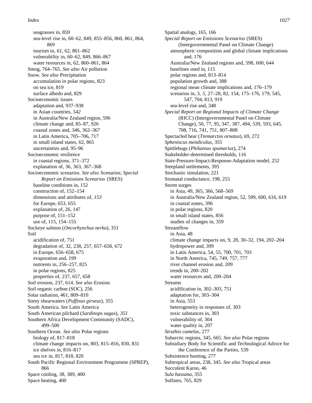seagrasses in, 859 sea-level rise in, 60–62, 849, 855–856, 860, 861, 864, 869 tourism in, *61,* 62, 861–862 vulnerability in, 60–62, 849, 866–867 water resources in, 62, 860–861, 864 Smog, 764–765. *See also* Air pollution Snow. *See also* Precipitation accumulation in polar regions, 823 on sea ice, 819 surface albedo and, 829 Socioeconomic issues adaptation and, 937–938 in Asian countries, *542* in Australia/New Zealand region, 596 climate change and, 85–87, 926 coastal zones and, 346, 362–367 in Latin America, 705–706, 717 in small island states, 62, 865 uncertainties and, 95–96 Socioeconomic resilience in coastal regions, 371–372 explanation of, 36, 363, 367–368 Socioeconomic scenarios. *See also* Scenarios; *Special Report on Emissions Scenarios* (SRES) baseline conditions in, 152 construction of, 152–154 dimensions and attributes of, *153* for Europe, 653, 655 explanation of, 26, 147 purpose of, 151–152 use of, 115, 154–155 Sockeye salmon (*Oncorhynchus nerka*), 351 Soil acidification of, 751 degradation of, 32, 238, 257, 657–658, 672 in Europe, 656–658, 675 evaporation and, 199 nutrients in, 256–257, 825 in polar regions, 825 properties of, 237, 657, 658 Soil erosion, 237, 614. *See also* Erosion Soil organic carbon (SOC), 256 Solar radiation, 461, 809–810 Sooty shearwaters (*Puffinus girseus*), 355 South America. *See* Latin America South American pilchard (*Sardinops sagax*), *351* Southern Africa Development Community (SADC), 499–500 Southern Ocean. *See also* Polar regions biology of, 817–818 climate change impacts on, 803, 815–816, 830, 831 ice shelves in, 816–817 sea ice in, 817, 818, 820 South Pacific Regional Environment Programme (SPREP), 866 Space cooling, 38, 389, 400 Space heating, 400

Spatial analogs, 165, 166 *Special Report on Emissions Scenarios* (SRES) (Intergovernmental Panel on Climate Change) atmospheric composition and global climate implications and, 176 Australia/New Zealand regions and, 598, 600, 644 baselines used in, 115 polar regions and, 813–814 population growth and, 388 regional mean climate implications and, 176–179 scenarios in, 3, *5,* 27–28, 82, 154, 175–176, 179, 545, 547, 704, 813, 919 sea-level rise and, 348 *Special Report on Regional Impacts of Climate Change* (RICC) (Intergovernmental Panel on Climate Change), 50, 77, 95, 347, 387, 494, 539, 593, 645, 708, 716, 741, 751, 807–808 Spectacled bear (*Tremarctos ornatus*), 69, 272 *Spheniscus mendiculus*, 355 Spittlebugs (*Philaenus spumarius*), 274 Stakeholder-determined thresholds, 116 State-Pressure-Impact-Response-Adaptation model, 252 Steepland settlements, 395 Stochastic simulation, 221 Stomatal conductance, 198, 255 Storm surges in Asia, 49, 365, 366, 568–569 in Australia/New Zealand region, 52, 599, 600, 616, 619 in coastal zones, 396 in polar regions, 820 in small island states, 856 studies of changes in, 359 Streamflow in Asia, 48 climate change impacts on, 9, 28, 30–32, 194, 202–204 hydropower and, 399 in Latin America, 54, 55, 700, 701, 703 in North America, 745, 749, 757, 777 river channel erosion and, 209 trends in, 200–202 water resources and, 200–204 Streams acidification in, 302–303, 751 adaptation for, 303–304 in Asia, 553 heterogeneity in responses of, 303 toxic substances in, 303 vulnerability of, 304 water quality in, 207 *Struthio camelus*, 277 Subarctic regions, 345, 665. *See also* Polar regions Subsidiary Body for Scientific and Technological Advice for the Conference of the Parties, 539 Subsistence hunting, 277 Subtropical areas, 238, 345. *See also* Tropical areas Succulent Karoo, 46 *Sula bassana*, 355 Sulfates, 765, 829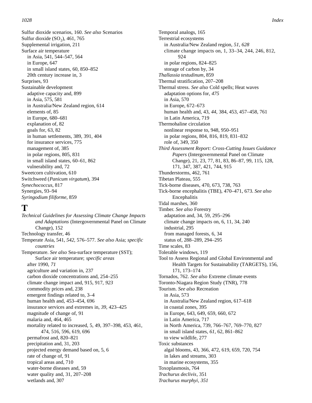Sulfur dioxide scenarios, 160. *See also* Scenarios Sulfur dioxide  $(SO_2)$ , 461, 765 Supplemental irrigation, 211 Surface air temperature in Asia, 541, 544–547, 564 in Europe, 647 in small island states, 60, 850–852 20th century increase in, 3 Surprises, 93 Sustainable development adaptive capacity and, 899 in Asia, 575, 581 in Australia/New Zealand region, 614 elements of, 85 in Europe, 680–681 explanation of, 82 goals for, 63, 82 in human settlements, 389, 391, 404 for insurance services, 775 management of, 385 in polar regions, 805, 831 in small island states, 60–61, 862 vulnerability and, 72 Sweetcorn cultivation, 610 Switchweed (*Panicum virgatum*), 394 *Synechococcus*, 817 Synergies, 93–94 *Syringodium filiforme*, 859

### **T**

*Technical Guidelines for Assessing Climate Change Impacts and Adaptations* (Intergovernmental Panel on Climate Change), 152 Technology transfer, 46 Temperate Asia, 541, *542,* 576–577. *See also* Asia; *specific countries* Temperature. *See also* Sea-surface temperature (SST); Surface air temperature; *specific areas* after 1990, *71* agriculture and variation in, 237 carbon dioxide concentrations and, 254–255 climate change impact and, 915, 917, *923* commodity prices and, 238 emergent findings related to, 3–4 human health and, 453–454, 696 insurance services and extremes in, *39,* 423–425 magnitude of change of, 91 malaria and, 464, 465 mortality related to increased, 5, 49, 397–398, 453, 461, 474, 516, 596, 619, 696 permafrost and, 820–821 precipitation and, 31, 203 projected energy demand based on, 5, 6 rate of change of, 91 tropical areas and, 710 water-borne diseases and, 59 water quality and, 31, 207–208 wetlands and, 307

Temporal analogs, 165 Terrestrial ecosystems in Australia/New Zealand region, *51, 628* climate change impacts on, 1, 33–34, 244, 246, 812, 924 in polar regions, 824–825 storage of carbon by, 34 *Thallassia testudinum*, 859 Thermal stratification, 207–208 Thermal stress. *See also* Cold spells; Heat waves adaptation options for, *475* in Asia, 570 in Europe, 672–673 human health and, 43, *44,* 384, 453, 457–458, 761 in Latin America, 719 Thermohaline circulation nonlinear response to, 948, 950–951 in polar regions, 804, 816, 819, 831–832 role of, 349, 350 *Third Assessment Report: Cross-Cutting Issues Guidance Papers* (Intergovernmental Panel on Climate Change), 21, 23, 77, 81, 83, 86–87, 99, 115, 128, 171, 347, 387, 421, 744, 915 Thunderstorms, 462, 761 Tibetan Plateau, 555 Tick-borne diseases, 470, 673, 738, 763 Tick-borne encephalitis (TBE), 470–471, 673. *See also* Encephalitis Tidal marshes, 360 Timber. *See also* Forestry adaptation and, 34, 59, 295–296 climate change impacts on, 6, 11, 34, 240 industrial, 295 from managed forests, 6, 34 status of, 288–289, 294–295 Time scales, 83 Tolerable windows, 119 Tool to Assess Regional and Global Environmental and Health Targets for Sustainability (TARGETS), 156, 171, 173–174 Tornados, 762. *See also* Extreme climate events Toronto-Niagara Region Study (TNR), 778 Tourism. *See also* Recreation in Asia, 573 in Australia/New Zealand region, 617–618 in coastal zones, 395 in Europe, 643, 649, 659, 660, 672 in Latin America, 717 in North America, 739, 766–767, 769–770, 827 in small island states, *61,* 62, 861–862 to view wildlife, 277 Toxic substances algal blooms, 43, 366, 472, 619, 659, 720, 754 in lakes and streams, 303 in marine ecosystems, 355 Toxoplasmosis, 764 *Trachurus declivis*, 351 *Trachurus murphyi*, *351*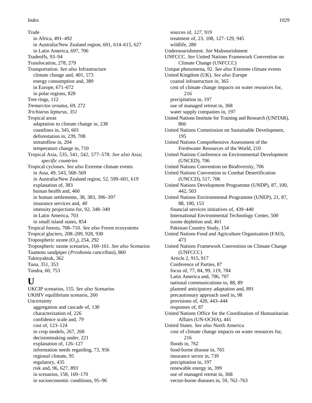Trade in Africa, 491–492 in Australia/New Zealand region, 601, 614–615, 627 in Latin America, 697, 706 Tradeoffs, 93–94 Translocation, 278, 279 Transportation. *See also* Infrastructure climate change and, 401, 573 energy consumption and, 389 in Europe, 671–672 in polar regions, 828 Tree rings, 112 *Tremarctos ornatus*, 69, 272 *Trichiarus lepturus*, *351* Tropical areas adaptation to climate change in, 238 coastlines in, 345, 601 deforestation in, 239, 708 streamflow in, 204 temperature change in, 710 Tropical Asia, 535, 541, 542, 577–578. *See also* Asia; *s p ecific countries* Tropical cyclones. *See also* Extreme climate events in Asia, 49, 543, 568–569 in Australia/New Zealand region, 52, 599–601, 619 explanation of, 383 human health and, 460 in human settlements, 38, 383, 396–397 insurance services and, *40* intensity projections for, 92, 348–349 in Latin America, 703 in small island states, 854 Tropical forests, 708–710. *See also* Forest ecosystems Tropical glaciers, 208–209, 928, 930 Tropospheric ozone  $(O_3)$ , 254, 292 Tropospheric ozone scenarios, 160–161. *See also* Scenarios Tuamotu sandpiper (*Prosbonia cancellata*), 860 Tuktoyaktuk, 362 Tuna, 351, 353 Tundra, 60, 753

# **U**

UKCIP scenarios, 155. *See also* Scenarios UKHIV equilibrium scenario, 260 Uncertainty aggregation and cascade of, 130 characterization of, 226 confidence scale and, *79* cost of, 123–124 in crop models, 267, 268 decisionmaking under, 221 explanation of, 126–127 information needs regarding, 73, 956 regional climate, 95 regulatory, 435 risk and, 96, 627, 893 in scenarios, 158, 169–170 in socioeconomic conditions, 95–96

sources of, *127,* 919 treatment of, 23, 108, 127–129, 945 wildlife, 280 Undernourishment. *See* Malnourishment UNFCCC. *See* United Nations Framework Convention on Climate Change (UNFCCC) Unique phenomena, *92*. *See also* Extreme climate events United Kingdom (UK). *See also* Europe coastal infrastructure in, 365 cost of climate change impacts on water resources for, 216 precipitation in, 197 use of managed retreat in, 368 water supply companies in, 197 United Nations Institute for Training and Research (UNITAR), 866 United Nations Commission on Sustainable Development, 195 United Nations Comprehensive Assessment of the Freshwater Resources of the World, 210 United Nations Conference on Environmental Development (UNCED), 706 United Nations Convention on Biodiversity, 706 United Nations Convention to Combat Desertification (UNCCD), 517, 706 United Nations Development Programme (UNDP), 87, 100, 442, 503 United Nations Environmental Programme (UNEP), 21, 87, 88, 100, 153 financial services initiatives of, 439–440 International Environmental Technology Center, 500 ozone depletion and, 461 Pakistan Country Study, 154 United Nations Food and Agriculture Organization (FAO), 473 United Nations Framework Convention on Climate Change (UNFCCC) Article 2, 915, 917 Conference of Parties, 87 focus of, 77, 84, 99, 119, 784 Latin America and, 706, 707 national communications to, 88, 89 planned anticipatory adaptation and, 891 precautionary approach used in, 98 provisions of, 420, 443–444 responses of, 87 United Nations Office for the Coordination of Humanitarian Affairs (UN-OCHA), 441 United States. *See also* North America cost of climate change impacts on water resources for, 216 floods in, 762 food-borne disease in, 765 insurance sector in, 739 precipitation in, 197 renewable energy in, 399 use of managed retreat in, 368

vector-borne diseases in, 59, 762–763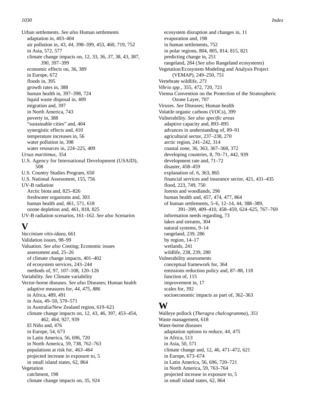Urban settlements. *See also* Human settlements adaptation in, 403–404 air pollution in, 43, *44,* 398–399, 453, 460, 719, 752 in Asia, 572, 577 climate change impacts on, 12, 33, 36, *37,* 38, 43, 387, *390,* 397–399 economic effects on, 36, 389 in Europe, 672 floods in, 395 growth rates in, 388 human health in, 397–398, 724 liquid waste disposal in, 409 migration and, 397 in North America, 743 poverty in, 388 "sustainable cities" and, 404 synergistic effects and, 410 temperature increases in, 56 water pollution in, 398 water resources in, 224–225, 409 *Ursus maritimus,* 354 U.S. Agency for International Development (USAID), 508 U.S. Country Studies Program, 650 U.S. National Assessment, 155, 756 UV-B radiation Arctic biota and, 825–826 freshwater organisms and, 303 human health and, 461, 571, 618 ozone depletion and, 461, 818, 825 UV-B radiation scenarios, 161–162. *See also* Scenarios

# **V**

*Vaccinium vitis-idaea*, 661 Validation issues, 98–99 Valuation. *See also* Costing; Economic issues assessment and, 25–26 of climate change impacts, 401–402 of ecosystem services, 243–244 methods of, 97, 107–108, 120–126 Variability. *See* Climate variability Vector-borne diseases. *See also* Diseases; Human health adaptive measures for, *44, 475, 886* in Africa, 489, 491 in Asia, 49–50, 570–571 in Australia/New Zealand region, 619–621 climate change impacts on, 12, 43, 46, 397, 453–454, 462, *464,* 927, 939 El Niño and, 476 in Europe, 54, 673 in Latin America, 56, 696, 720 in North America, 59, 738, 762–763 populations at risk for, *463–464* projected increase in exposure to, 5 in small island states, 62, 864 Vegetation catchment, 198 climate change impacts on, 35, 924

ecosystem disruption and changes in, 11 evaporation and, 198 in human settlements, 752 in polar regions, 804, 805, 814, 815, 821 predicting change in, 251 rangeland, 284 (*See also* Rangeland ecosystems) Vegetation/Ecosystem Modeling and Analysis Project (VEMAP), 249–250, 751 Vertebrate wildlife, *271 Vibrio spp.*, 355, 472, 720, 721 Vienna Convention on the Protection of the Stratospheric Ozone Layer, 707 Viruses. *See* Diseases; Human health Volatile organic carbons (VOCs), 399 Vulnerability. *See also specific areas* adaptive capacity and, 893–895 advances in understanding of, 89–91 agricultural sector, 237–238, 270 arctic region, 241–242, 314 coastal zone, 36, 363, 367–368, 372 developing countries, 8, 70–71, 442, 939 development rate and, 71–72 disaster, 458–459 explanation of, 6, 363, 865 financial services and insurance sector, 421, 431–435 flood, 223, 749, 750 forests and woodlands, 296 human health and, 457, 474, 477, 864 of human settlements, 5–6, 12–14, 44, 388–389, 391–399, 409–410, 458–459, 624–625, 767–769 information needs regarding, 73 lakes and streams, 304 natural systems, 9–14 rangeland, 239, 286 by region, 14–17 wetlands, 241 wildlife, 238, 239, 280 Vulnerability assessments conceptual framework for, 364 emissions reduction policy and, 87–88, 118 function of, 115 improvement in, 17 scales for, 392 socioeconomic impacts as part of, 362–363

### **W**

Walleye pollock (*Theragra chalcogramma*), *351* Waste management, 618 Water-borne diseases adaptation options to reduce, *44, 475* in Africa, 513 in Asia, 50, 571 climate change and, 12, 46, 471–472, 621 in Europe, 673–674 in Latin America, 56, 696, 720–721 in North America, 59, 763–764 projected increase in exposure to, 5 in small island states, 62, 864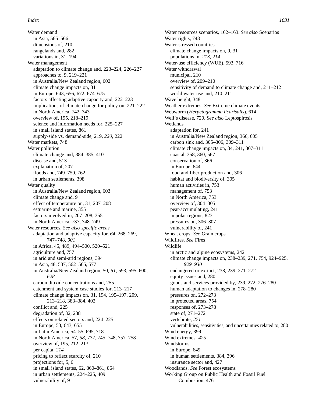Water demand in Asia, 565–566 dimensions of, 210 rangelands and, 282 variations in, 31, 194 Water management adaptation to climate change and, 223–224, 226–227 approaches to, 9, 219–221 in Australia/New Zealand region, 602 climate change impacts on, 31 in Europe, 643, 656, 672, 674–675 factors affecting adaptive capacity and, 222–223 implications of climate change for policy on, 221–222 in North America, 742–743 overview of, 195, 218–219 science and information needs for, 225–227 in small island states, 861 supply-side vs. demand-side, 219, *220,* 222 Water markets, 748 Water pollution climate change and, 384–385, 410 disease and, 513 explanation of, 207 floods and, 749–750, 762 in urban settlements, 398 Water quality in Australia/New Zealand region, 603 climate change and, 9 effect of temperature on, 31, 207–208 estuarine and marine, 355 factors involved in, 207–208, 355 in North America, 737, 748–749 Water resources. *See also specific areas* adaptation and adaptive capacity for, *64,* 268–269, 747–748, *901* in Africa, 45, 489, 494–500, 520–521 agriculture and, 757 in arid and semi-arid regions, 394 in Asia, 48, 537, 562–565, 577 in Australia/New Zealand region, 50, *51,* 593, 595, 600, *628* carbon dioxide concentrations and, 255 catchment and system case studies for, 213–217 climate change impacts on, 31, 194, 195–197, 209, 213–218, 383–384, 402 conflict and, 225 degradation of, 32, 238 effects on related sectors and, 224–225 in Europe, 53, 643, 655 in Latin America, 54–55, 695, 718 in North America, 57, *58,* 737, 745–748, 757–758 overview of, 195, 212–213 per capita, *214* pricing to reflect scarcity of, 210 projections for, 5, 6 in small island states, 62, 860–861, 864 in urban settlements, 224–225, 409 vulnerability of, 9

Water resources scenarios, 162–163. *See also* Scenarios Water rights, 748 Water-stressed countries climate change impacts on, 9, 31 populations in, *213, 214* Water-use efficiency (WUE), 593, 716 Water withdrawal municipal, 210 overview of, 209–210 sensitivity of demand to climate change and, 211–212 world water use and, 210–211 Wave height, 348 Weather extremes. *See* Extreme climate events Webworm (*Herpetogramma licarisalis*), 614 Weil's disease, 720. *See also* Leptospirosis Wetlands adaptation for, 241 in Australia/New Zealand region, 366, 605 carbon sink and, 305–306, 309–311 climate change impacts on, 34, 241, 307–311 coastal, 358, 360, 567 conservation of, 366 in Europe, 644 food and fiber production and, 306 habitat and biodiversity of, 305 human activities in, 753 management of, 753 in North America, 753 overview of, 304–305 peat-accumulating, 241 in polar regions, 823 pressures on, 306–307 vulnerability of, 241 Wheat crops. *See* Grain crops Wildfires. *See* Fires Wildlife in arctic and alpine ecosystems, 242 climate change impacts on, 238–239, 271, 754, 924–925, *929–930* endangered or extinct, 238, 239, 271–272 equity issues and, 280 goods and services provided by, 239, 272, 276–280 human adaptation to changes in, 278–280 pressures on, 272–273 in protected areas, 754 responses of, 273–278 state of, 271–272 vertebrate, *271* vulnerabilities, sensitivities, and uncertainties related to, 280 Wind energy, 399 Wind extremes, *425* Windstorms in Europe, 649 in human settlements, 384, 396 insurance sector and, 427 Woodlands. *See* Forest ecosystems Working Group on Public Health and Fossil Fuel Combustion, 476